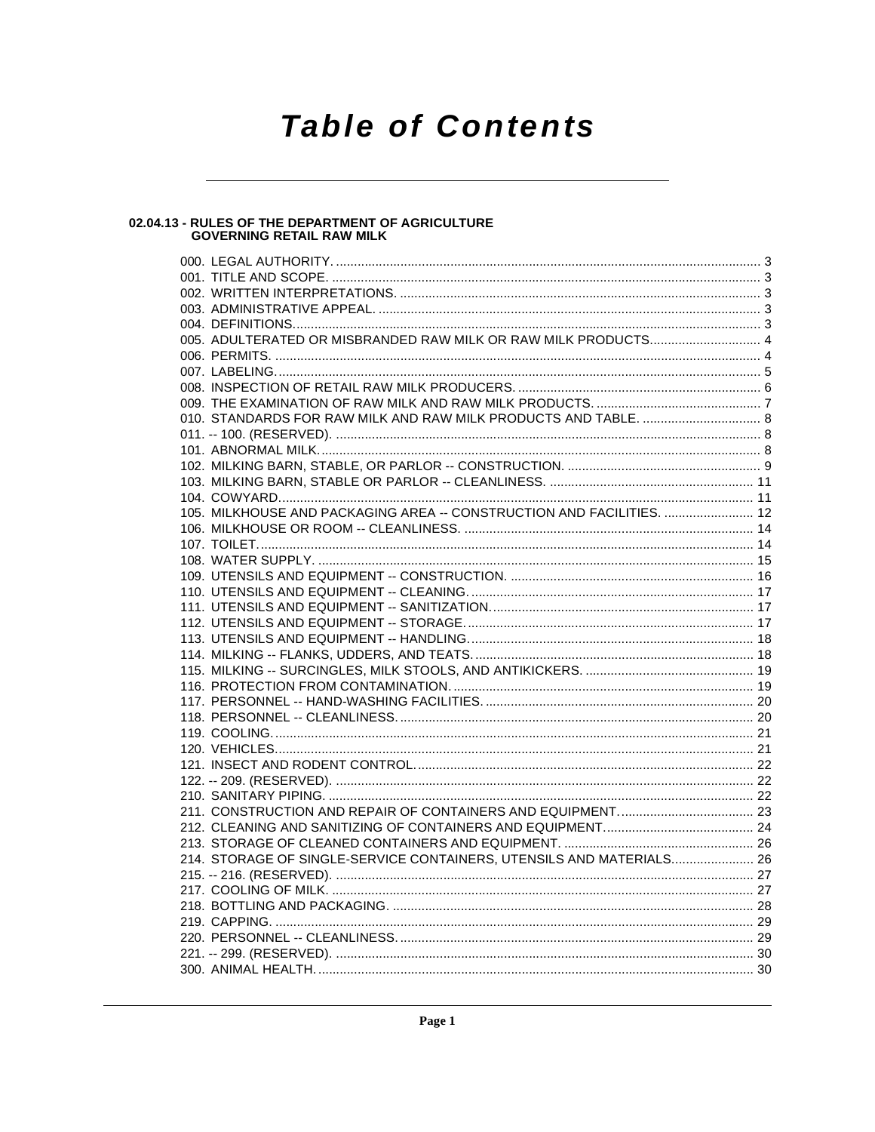# **Table of Contents**

# 02.04.13 - RULES OF THE DEPARTMENT OF AGRICULTURE<br>GOVERNING RETAIL RAW MILK

| 010. STANDARDS FOR RAW MILK AND RAW MILK PRODUCTS AND TABLE.  8       |  |
|-----------------------------------------------------------------------|--|
|                                                                       |  |
|                                                                       |  |
|                                                                       |  |
|                                                                       |  |
|                                                                       |  |
| 105. MILKHOUSE AND PACKAGING AREA -- CONSTRUCTION AND FACILITIES.  12 |  |
|                                                                       |  |
|                                                                       |  |
|                                                                       |  |
|                                                                       |  |
|                                                                       |  |
|                                                                       |  |
|                                                                       |  |
|                                                                       |  |
|                                                                       |  |
|                                                                       |  |
|                                                                       |  |
|                                                                       |  |
|                                                                       |  |
|                                                                       |  |
|                                                                       |  |
|                                                                       |  |
|                                                                       |  |
|                                                                       |  |
|                                                                       |  |
|                                                                       |  |
|                                                                       |  |
| 214. STORAGE OF SINGLE-SERVICE CONTAINERS, UTENSILS AND MATERIALS 26  |  |
|                                                                       |  |
|                                                                       |  |
|                                                                       |  |
|                                                                       |  |
|                                                                       |  |
|                                                                       |  |
|                                                                       |  |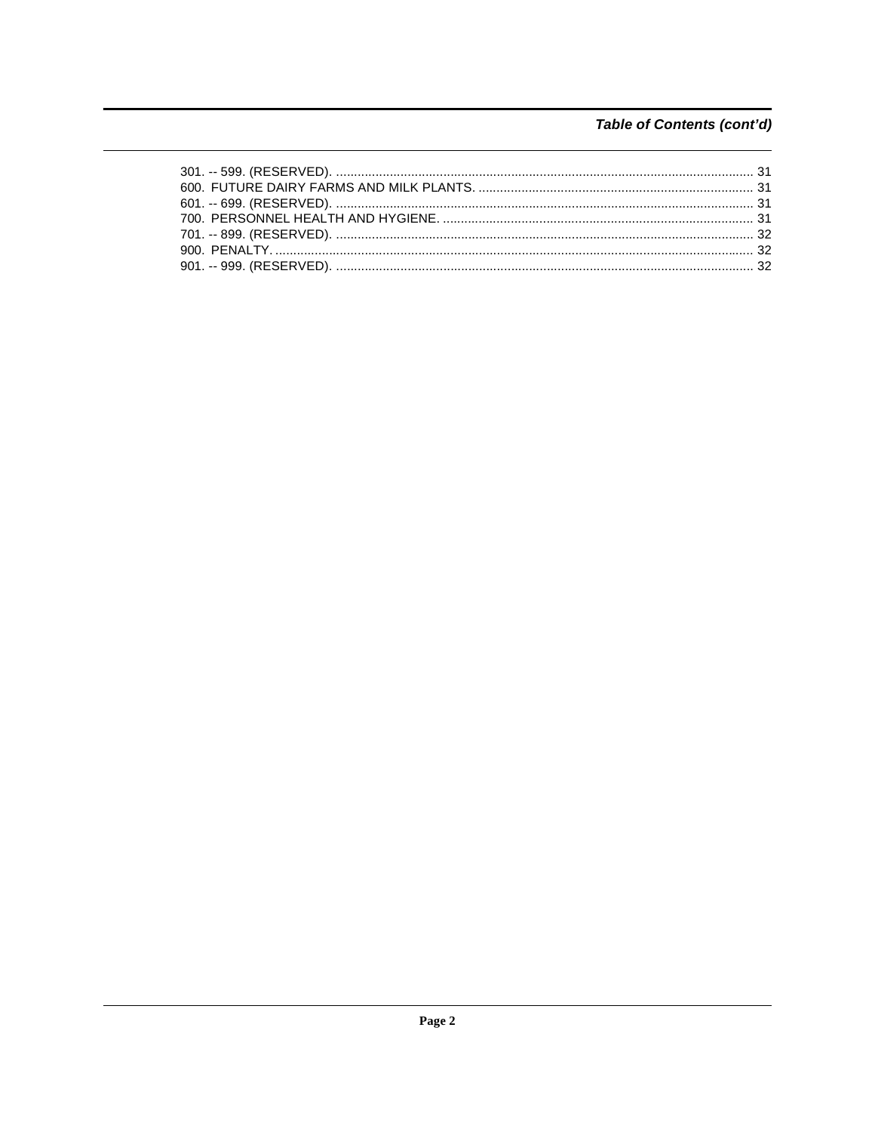# Table of Contents (cont'd)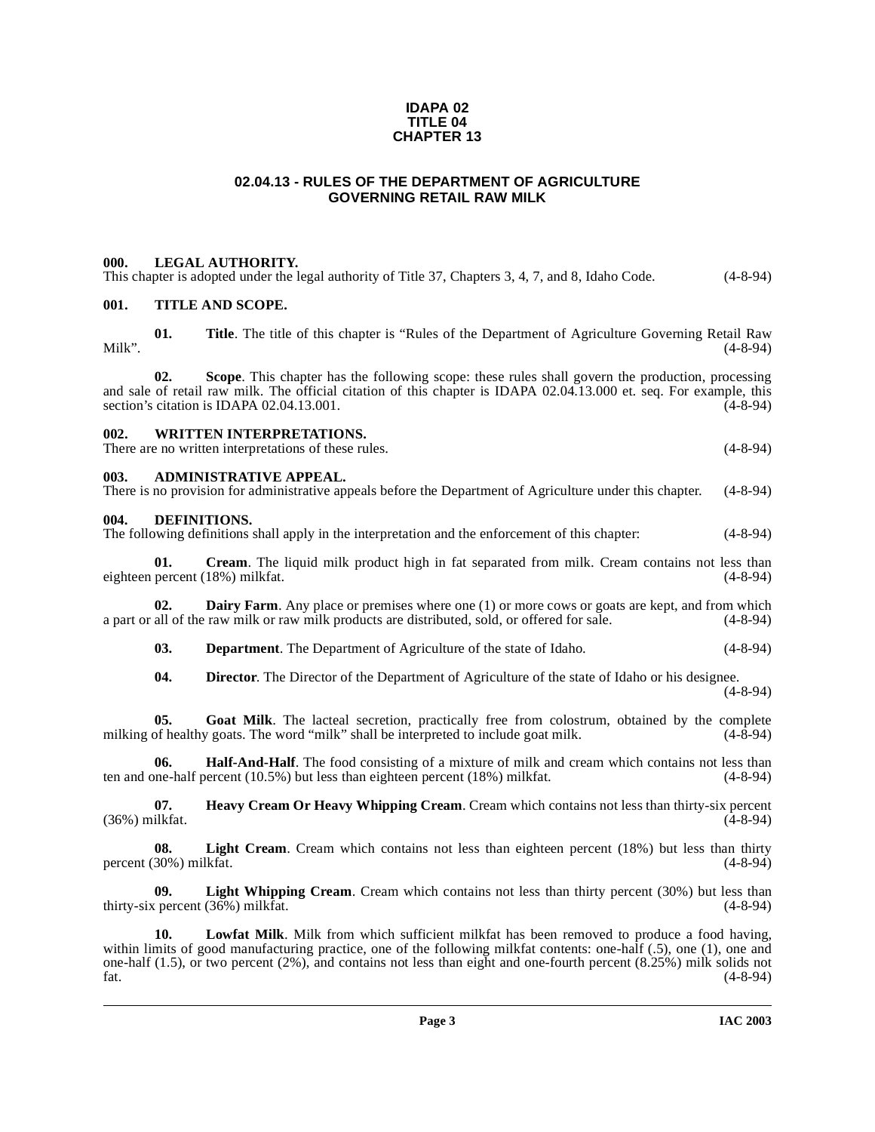#### **IDAPA 02 TITLE 04 CHAPTER 13**

# **02.04.13 - RULES OF THE DEPARTMENT OF AGRICULTURE GOVERNING RETAIL RAW MILK**

#### <span id="page-2-1"></span><span id="page-2-0"></span>**000. LEGAL AUTHORITY.**

| This chapter is adopted under the legal authority of Title 37, Chapters 3, 4, 7, and 8, Idaho Code. | $(4-8-94)$ |
|-----------------------------------------------------------------------------------------------------|------------|
|-----------------------------------------------------------------------------------------------------|------------|

# <span id="page-2-2"></span>**001. TITLE AND SCOPE.**

**01. Title**. The title of this chapter is "Rules of the Department of Agriculture Governing Retail Raw Milk". (4-8-94)

**02. Scope**. This chapter has the following scope: these rules shall govern the production, processing and sale of retail raw milk. The official citation of this chapter is IDAPA 02.04.13.000 et. seq. For example, this section's citation is IDAPA 02.04.13.001. section's citation is IDAPA 02.04.13.001.

#### <span id="page-2-3"></span>**002. WRITTEN INTERPRETATIONS.**

There are no written interpretations of these rules. (4-8-94)

#### <span id="page-2-4"></span>**003. ADMINISTRATIVE APPEAL.**

There is no provision for administrative appeals before the Department of Agriculture under this chapter. (4-8-94)

#### <span id="page-2-8"></span><span id="page-2-5"></span>**004. DEFINITIONS.**

The following definitions shall apply in the interpretation and the enforcement of this chapter: (4-8-94)

<span id="page-2-6"></span>**01.** Cream. The liquid milk product high in fat separated from milk. Cream contains not less than percent (18%) milkfat. (4-8-94) eighteen percent (18%) milkfat.

**02. Dairy Farm**. Any place or premises where one (1) or more cows or goats are kept, and from which all of the raw milk or raw milk products are distributed, sold, or offered for sale. (4-8-94) a part or all of the raw milk or raw milk products are distributed, sold, or offered for sale.

<span id="page-2-9"></span><span id="page-2-7"></span>**03. Department**. The Department of Agriculture of the state of Idaho. (4-8-94)

<span id="page-2-12"></span><span id="page-2-11"></span><span id="page-2-10"></span>**04. Director**. The Director of the Department of Agriculture of the state of Idaho or his designee.

(4-8-94)

**05. Goat Milk**. The lacteal secretion, practically free from colostrum, obtained by the complete milking of healthy goats. The word "milk" shall be interpreted to include goat milk. (4-8-94)

**06. Half-And-Half**. The food consisting of a mixture of milk and cream which contains not less than pre-half percent (10.5%) but less than eighteen percent (18%) milkfat. (4-8-94) ten and one-half percent  $(10.5\%)$  but less than eighteen percent  $(18\%)$  milkfat.

<span id="page-2-13"></span>**07. Heavy Cream Or Heavy Whipping Cream**. Cream which contains not less than thirty-six percent ilkfat. (4-8-94)  $(36\%)$  milkfat.

<span id="page-2-14"></span>**08. Light Cream**. Cream which contains not less than eighteen percent (18%) but less than thirty percent  $(30\%)$  milkfat.  $(4-8-94)$ 

<span id="page-2-15"></span>**09.** Light Whipping Cream. Cream which contains not less than thirty percent (30%) but less than the contains of less than (4-8-94) thirty-six percent  $(36%)$  milkfat.

<span id="page-2-16"></span>**10. Lowfat Milk**. Milk from which sufficient milkfat has been removed to produce a food having, within limits of good manufacturing practice, one of the following milkfat contents: one-half (.5), one (1), one and one-half (1.5), or two percent (2%), and contains not less than eight and one-fourth percent (8.25%) milk solids not fat. (4-8-94)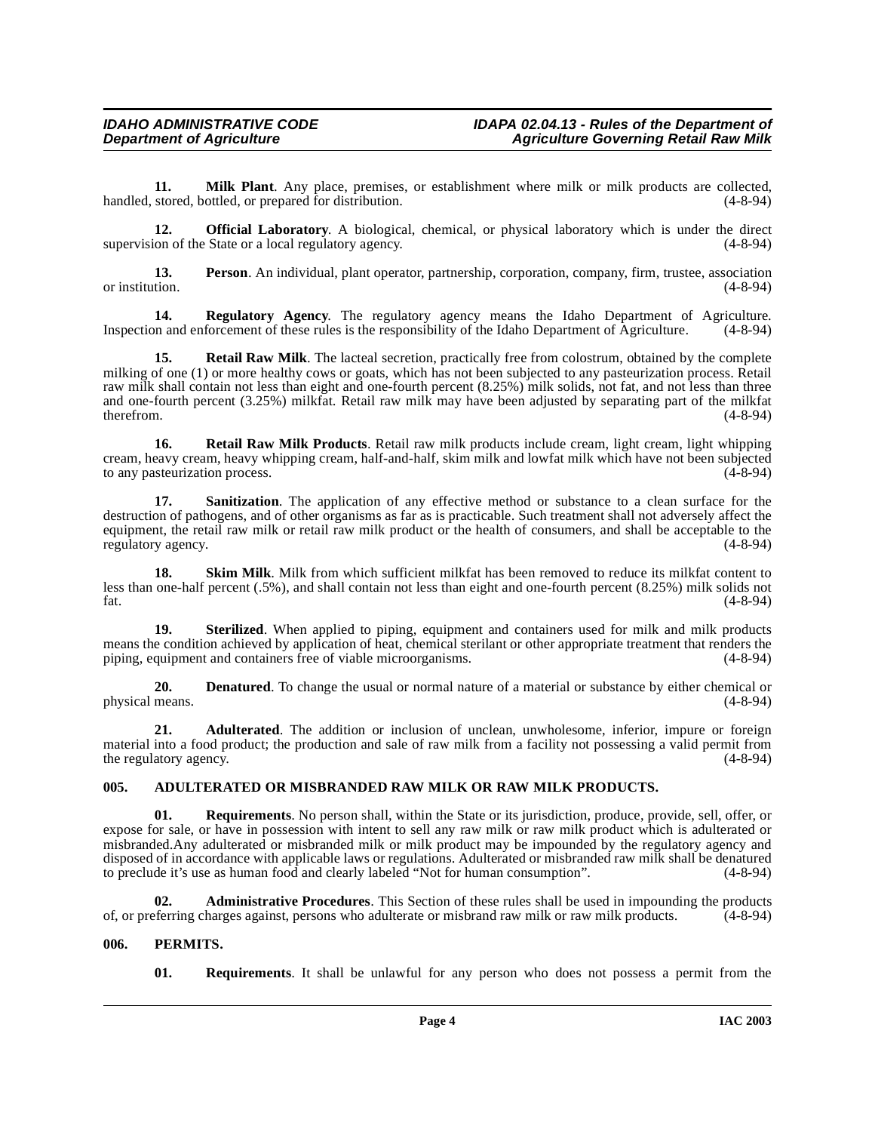<span id="page-3-5"></span>**11. Milk Plant**. Any place, premises, or establishment where milk or milk products are collected, stored, bottled, or prepared for distribution. (4-8-94) handled, stored, bottled, or prepared for distribution.

<span id="page-3-6"></span>**12. Official Laboratory**. A biological, chemical, or physical laboratory which is under the direct supervision of the State or a local regulatory agency. (4-8-94)

<span id="page-3-8"></span>**13. Person**. An individual, plant operator, partnership, corporation, company, firm, trustee, association or institution. (4-8-94) or institution. (4-8-94)

<span id="page-3-9"></span>**14. Regulatory Agency.** The regulatory agency means the Idaho Department of Agriculture. (4-8-94) on and enforcement of these rules is the responsibility of the Idaho Department of Agriculture. (4-8-94) Inspection and enforcement of these rules is the responsibility of the Idaho Department of Agriculture.

**15. Retail Raw Milk**. The lacteal secretion, practically free from colostrum, obtained by the complete milking of one (1) or more healthy cows or goats, which has not been subjected to any pasteurization process. Retail raw milk shall contain not less than eight and one-fourth percent  $(8.25%)$  milk solids, not fat, and not less than three and one-fourth percent (3.25%) milkfat. Retail raw milk may have been adjusted by separating part of the milkfat<br>(4-8-94) therefrom.  $(4-8-94)$ 

<span id="page-3-10"></span>**16.** Retail Raw Milk Products. Retail raw milk products include cream, light cream, light whipping cream, heavy cream, heavy whipping cream, half-and-half, skim milk and lowfat milk which have not been subjected to any pasteurization process.

<span id="page-3-11"></span>**17.** Sanitization. The application of any effective method or substance to a clean surface for the destruction of pathogens, and of other organisms as far as is practicable. Such treatment shall not adversely affect the equipment, the retail raw milk or retail raw milk product or the health of consumers, and shall be acceptable to the regulatory agency. (4-8-94) regulatory agency.

<span id="page-3-12"></span>**Skim Milk**. Milk from which sufficient milkfat has been removed to reduce its milkfat content to less than one-half percent (.5%), and shall contain not less than eight and one-fourth percent (8.25%) milk solids not fat.  $(4-8-94)$ 

<span id="page-3-13"></span>**19. Sterilized**. When applied to piping, equipment and containers used for milk and milk products means the condition achieved by application of heat, chemical sterilant or other appropriate treatment that renders the piping, equipment and containers free of viable microorganisms. (4-8-94)

<span id="page-3-4"></span>**20. Denatured**. To change the usual or normal nature of a material or substance by either chemical or means.  $(4-8-94)$ physical means.

<span id="page-3-2"></span>**21. Adulterated**. The addition or inclusion of unclean, unwholesome, inferior, impure or foreign material into a food product; the production and sale of raw milk from a facility not possessing a valid permit from<br>the regulatory agency. (4-8-94) the regulatory agency.

# <span id="page-3-3"></span><span id="page-3-0"></span>**005. ADULTERATED OR MISBRANDED RAW MILK OR RAW MILK PRODUCTS.**

**01. Requirements**. No person shall, within the State or its jurisdiction, produce, provide, sell, offer, or expose for sale, or have in possession with intent to sell any raw milk or raw milk product which is adulterated or misbranded.Any adulterated or misbranded milk or milk product may be impounded by the regulatory agency and disposed of in accordance with applicable laws or regulations. Adulterated or misbranded raw milk shall be denatured to preclude it's use as human food and clearly labeled "Not for human consumption". (4-8-94) to preclude it's use as human food and clearly labeled "Not for human consumption".

**02. Administrative Procedures**. This Section of these rules shall be used in impounding the products of, or preferring charges against, persons who adulterate or misbrand raw milk or raw milk products. (4-8-94)

# <span id="page-3-1"></span>**006. PERMITS.**

<span id="page-3-7"></span>**01. Requirements**. It shall be unlawful for any person who does not possess a permit from the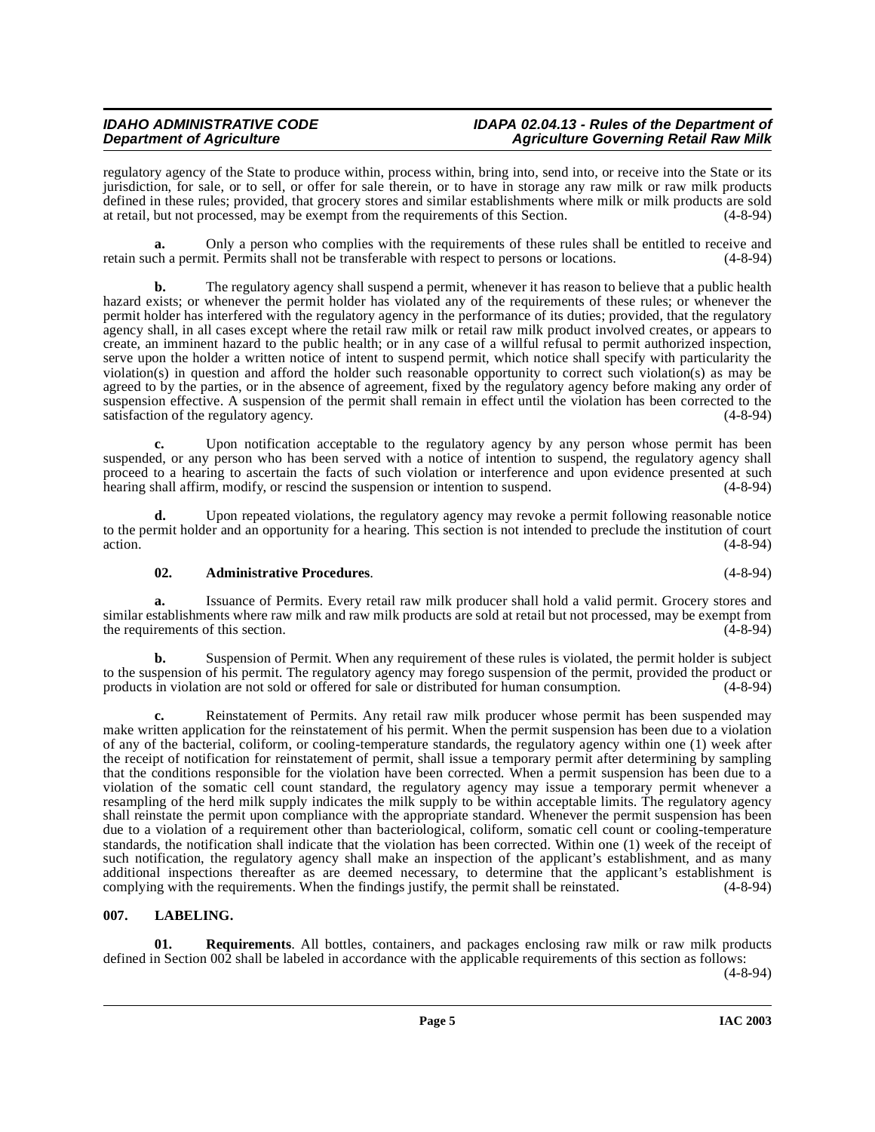regulatory agency of the State to produce within, process within, bring into, send into, or receive into the State or its jurisdiction, for sale, or to sell, or offer for sale therein, or to have in storage any raw milk or raw milk products defined in these rules; provided, that grocery stores and similar establishments where milk or milk products are sold at retail, but not processed, may be exempt from the requirements of this Section. (4-8-94)

**a.** Only a person who complies with the requirements of these rules shall be entitled to receive and ch a permit. Permits shall not be transferable with respect to persons or locations. (4-8-94) retain such a permit. Permits shall not be transferable with respect to persons or locations.

**b.** The regulatory agency shall suspend a permit, whenever it has reason to believe that a public health hazard exists; or whenever the permit holder has violated any of the requirements of these rules; or whenever the permit holder has interfered with the regulatory agency in the performance of its duties; provided, that the regulatory agency shall, in all cases except where the retail raw milk or retail raw milk product involved creates, or appears to create, an imminent hazard to the public health; or in any case of a willful refusal to permit authorized inspection, serve upon the holder a written notice of intent to suspend permit, which notice shall specify with particularity the violation(s) in question and afford the holder such reasonable opportunity to correct such violation(s) as may be agreed to by the parties, or in the absence of agreement, fixed by the regulatory agency before making any order of suspension effective. A suspension of the permit shall remain in effect until the violation has been corrected to the satisfaction of the regulatory agency. (4-8-94) satisfaction of the regulatory agency.

Upon notification acceptable to the regulatory agency by any person whose permit has been suspended, or any person who has been served with a notice of intention to suspend, the regulatory agency shall proceed to a hearing to ascertain the facts of such violation or interference and upon evidence presented at such hearing shall affirm, modify, or rescind the suspension or intention to suspend. (4-8-94) hearing shall affirm, modify, or rescind the suspension or intention to suspend.

**d.** Upon repeated violations, the regulatory agency may revoke a permit following reasonable notice to the permit holder and an opportunity for a hearing. This section is not intended to preclude the institution of court action. (4-8-94)  $(4-8-94)$ 

# **02. Administrative Procedures**. (4-8-94)

**a.** Issuance of Permits. Every retail raw milk producer shall hold a valid permit. Grocery stores and similar establishments where raw milk and raw milk products are sold at retail but not processed, may be exempt from<br>the requirements of this section. (4-8-94) the requirements of this section.

**b.** Suspension of Permit. When any requirement of these rules is violated, the permit holder is subject to the suspension of his permit. The regulatory agency may forego suspension of the permit, provided the product or products in violation are not sold or offered for sale or distributed for human consumption. (4-8-94)

**c.** Reinstatement of Permits. Any retail raw milk producer whose permit has been suspended may make written application for the reinstatement of his permit. When the permit suspension has been due to a violation of any of the bacterial, coliform, or cooling-temperature standards, the regulatory agency within one (1) week after the receipt of notification for reinstatement of permit, shall issue a temporary permit after determining by sampling that the conditions responsible for the violation have been corrected. When a permit suspension has been due to a violation of the somatic cell count standard, the regulatory agency may issue a temporary permit whenever a resampling of the herd milk supply indicates the milk supply to be within acceptable limits. The regulatory agency shall reinstate the permit upon compliance with the appropriate standard. Whenever the permit suspension has been due to a violation of a requirement other than bacteriological, coliform, somatic cell count or cooling-temperature standards, the notification shall indicate that the violation has been corrected. Within one (1) week of the receipt of such notification, the regulatory agency shall make an inspection of the applicant's establishment, and as many additional inspections thereafter as are deemed necessary, to determine that the applicant's establishment is complying with the requirements. When the findings justify, the permit shall be reinstated. (4-8-94) complying with the requirements. When the findings justify, the permit shall be reinstated.

# <span id="page-4-1"></span><span id="page-4-0"></span>**007. LABELING.**

**01.** Requirements. All bottles, containers, and packages enclosing raw milk or raw milk products defined in Section 002 shall be labeled in accordance with the applicable requirements of this section as follows:

(4-8-94)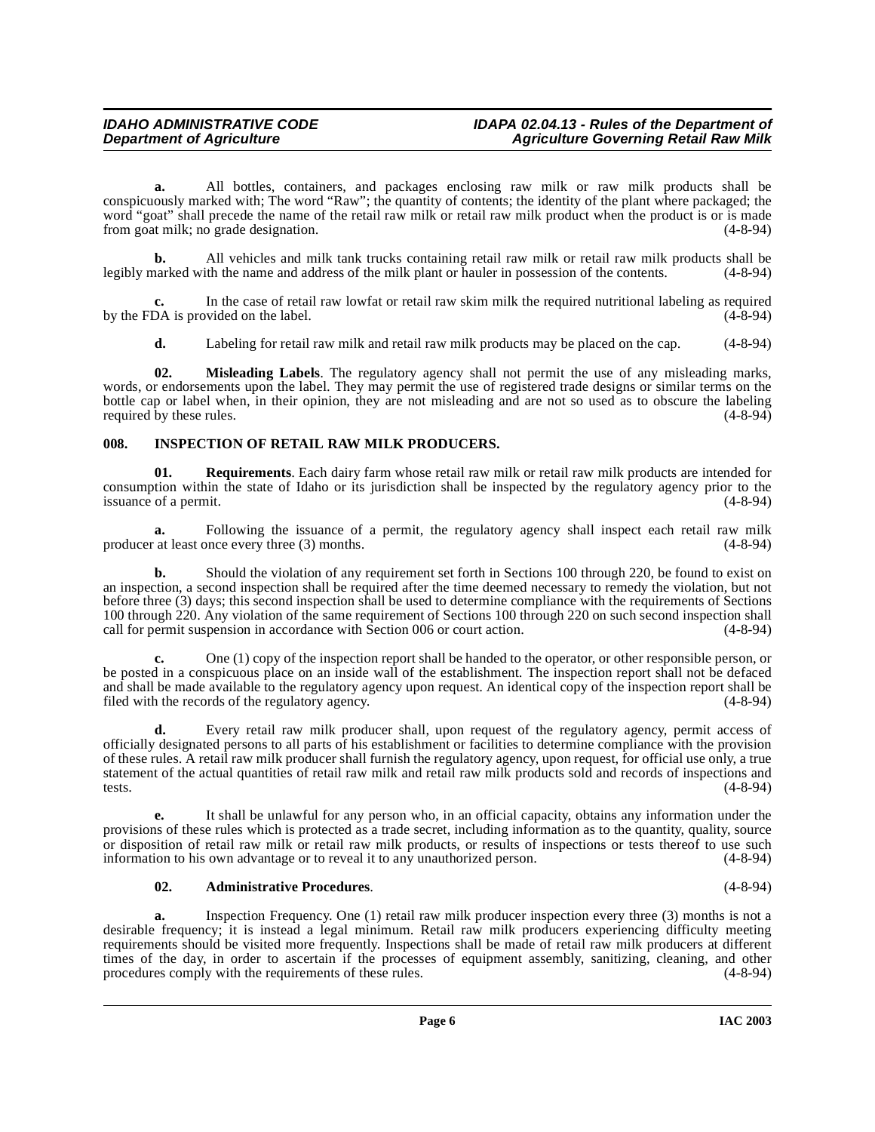**a.** All bottles, containers, and packages enclosing raw milk or raw milk products shall be conspicuously marked with; The word "Raw"; the quantity of contents; the identity of the plant where packaged; the word "goat" shall precede the name of the retail raw milk or retail raw milk product when the product is or is made from goat milk; no grade designation. (4-8-94)

**b.** All vehicles and milk tank trucks containing retail raw milk or retail raw milk products shall be narked with the name and address of the milk plant or hauler in possession of the contents. (4-8-94) legibly marked with the name and address of the milk plant or hauler in possession of the contents.

In the case of retail raw lowfat or retail raw skim milk the required nutritional labeling as required on the label.  $(4-8-94)$ by the FDA is provided on the label.

<span id="page-5-2"></span>**d.** Labeling for retail raw milk and retail raw milk products may be placed on the cap. (4-8-94)

**02. Misleading Labels**. The regulatory agency shall not permit the use of any misleading marks, words, or endorsements upon the label. They may permit the use of registered trade designs or similar terms on the bottle cap or label when, in their opinion, they are not misleading and are not so used as to obscure the labeling required by these rules. (4-8-94) required by these rules.

# <span id="page-5-1"></span><span id="page-5-0"></span>**008. INSPECTION OF RETAIL RAW MILK PRODUCERS.**

**01. Requirements**. Each dairy farm whose retail raw milk or retail raw milk products are intended for consumption within the state of Idaho or its jurisdiction shall be inspected by the regulatory agency prior to the issuance of a permit.

**a.** Following the issuance of a permit, the regulatory agency shall inspect each retail raw milk at least once every three (3) months. (4-8-94) producer at least once every three (3) months.

**b.** Should the violation of any requirement set forth in Sections 100 through 220, be found to exist on an inspection, a second inspection shall be required after the time deemed necessary to remedy the violation, but not before three (3) days; this second inspection shall be used to determine compliance with the requirements of Sections 100 through 220. Any violation of the same requirement of Sections 100 through 220 on such second inspection shall call for permit suspension in accordance with Section 006 or court action. (4-8-94) call for permit suspension in accordance with Section 006 or court action.

**c.** One (1) copy of the inspection report shall be handed to the operator, or other responsible person, or be posted in a conspicuous place on an inside wall of the establishment. The inspection report shall not be defaced and shall be made available to the regulatory agency upon request. An identical copy of the inspection report shall be filed with the records of the regulatory agency. (4-8-94) filed with the records of the regulatory agency.

**d.** Every retail raw milk producer shall, upon request of the regulatory agency, permit access of officially designated persons to all parts of his establishment or facilities to determine compliance with the provision of these rules. A retail raw milk producer shall furnish the regulatory agency, upon request, for official use only, a true statement of the actual quantities of retail raw milk and retail raw milk products sold and records of inspections and tests.  $(4-8-94)$ 

**e.** It shall be unlawful for any person who, in an official capacity, obtains any information under the provisions of these rules which is protected as a trade secret, including information as to the quantity, quality, source or disposition of retail raw milk or retail raw milk products, or results of inspections or tests thereof to use such information to his own advantage or to reveal it to any unauthorized person. (4-8-94) information to his own advantage or to reveal it to any unauthorized person.

#### **02. Administrative Procedures**. (4-8-94)

**a.** Inspection Frequency. One (1) retail raw milk producer inspection every three (3) months is not a desirable frequency; it is instead a legal minimum. Retail raw milk producers experiencing difficulty meeting requirements should be visited more frequently. Inspections shall be made of retail raw milk producers at different times of the day, in order to ascertain if the processes of equipment assembly, sanitizing, cleaning, and other<br>procedures comply with the requirements of these rules. (4-8-94) procedures comply with the requirements of these rules.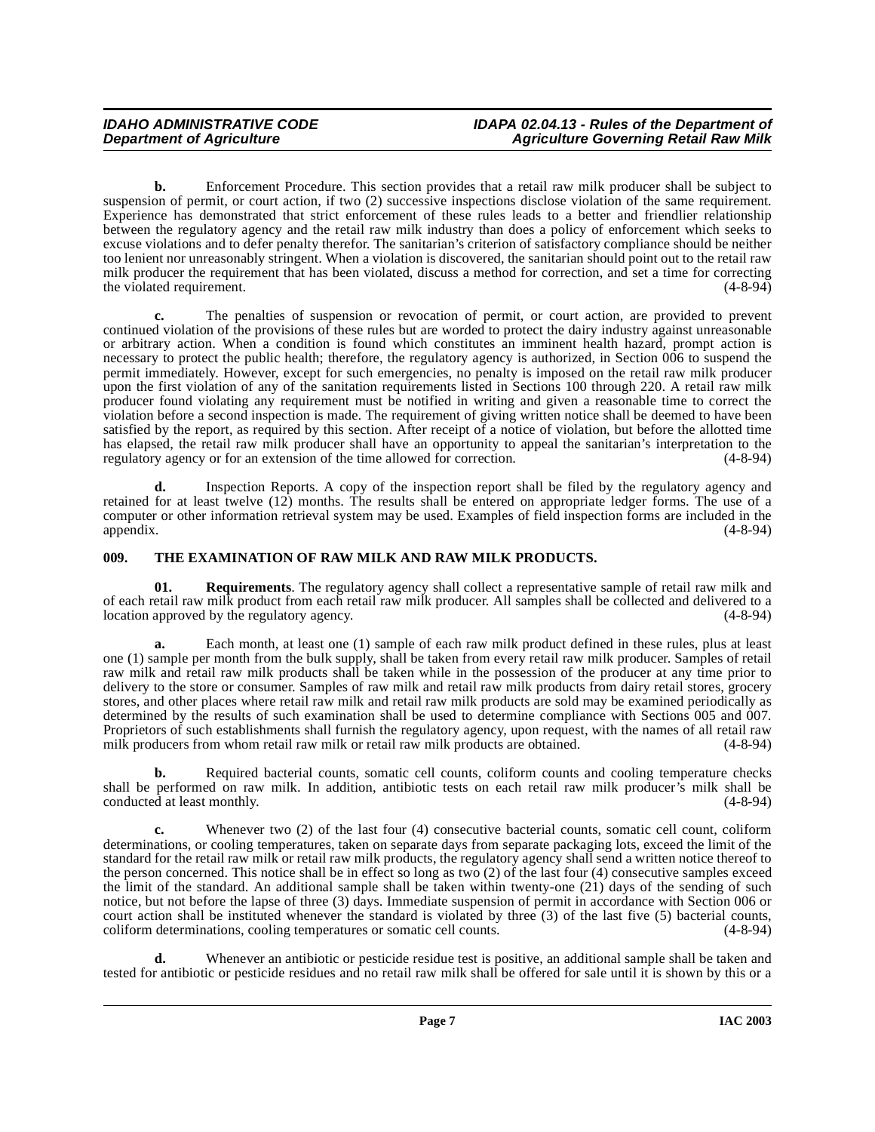**b.** Enforcement Procedure. This section provides that a retail raw milk producer shall be subject to suspension of permit, or court action, if two (2) successive inspections disclose violation of the same requirement. Experience has demonstrated that strict enforcement of these rules leads to a better and friendlier relationship between the regulatory agency and the retail raw milk industry than does a policy of enforcement which seeks to excuse violations and to defer penalty therefor. The sanitarian's criterion of satisfactory compliance should be neither too lenient nor unreasonably stringent. When a violation is discovered, the sanitarian should point out to the retail raw milk producer the requirement that has been violated, discuss a method for correction, and set a time for correcting the violated requirement. (4-8-94) the violated requirement.

**c.** The penalties of suspension or revocation of permit, or court action, are provided to prevent continued violation of the provisions of these rules but are worded to protect the dairy industry against unreasonable or arbitrary action. When a condition is found which constitutes an imminent health hazard, prompt action is necessary to protect the public health; therefore, the regulatory agency is authorized, in Section 006 to suspend the permit immediately. However, except for such emergencies, no penalty is imposed on the retail raw milk producer upon the first violation of any of the sanitation requirements listed in Sections 100 through 220. A retail raw milk producer found violating any requirement must be notified in writing and given a reasonable time to correct the violation before a second inspection is made. The requirement of giving written notice shall be deemed to have been satisfied by the report, as required by this section. After receipt of a notice of violation, but before the allotted time has elapsed, the retail raw milk producer shall have an opportunity to appeal the sanitarian's interpretation to the regulatory agency or for an extension of the time allowed for correction. (4-8-94) regulatory agency or for an extension of the time allowed for correction.

**d.** Inspection Reports. A copy of the inspection report shall be filed by the regulatory agency and retained for at least twelve (12) months. The results shall be entered on appropriate ledger forms. The use of a computer or other information retrieval system may be used. Examples of field inspection forms are included in the appendix. (4-8-94)

# <span id="page-6-1"></span><span id="page-6-0"></span>**009. THE EXAMINATION OF RAW MILK AND RAW MILK PRODUCTS.**

**01. Requirements**. The regulatory agency shall collect a representative sample of retail raw milk and of each retail raw milk product from each retail raw milk producer. All samples shall be collected and delivered to a location approved by the regulatory agency.

**a.** Each month, at least one (1) sample of each raw milk product defined in these rules, plus at least one (1) sample per month from the bulk supply, shall be taken from every retail raw milk producer. Samples of retail raw milk and retail raw milk products shall be taken while in the possession of the producer at any time prior to delivery to the store or consumer. Samples of raw milk and retail raw milk products from dairy retail stores, grocery stores, and other places where retail raw milk and retail raw milk products are sold may be examined periodically as determined by the results of such examination shall be used to determine compliance with Sections 005 and 007. Proprietors of such establishments shall furnish the regulatory agency, upon request, with the names of all retail raw milk producers from whom retail raw milk or retail raw milk products are obtained. (4-8-94) milk producers from whom retail raw milk or retail raw milk products are obtained.

**b.** Required bacterial counts, somatic cell counts, coliform counts and cooling temperature checks shall be performed on raw milk. In addition, antibiotic tests on each retail raw milk producer's milk shall be conducted at least monthly. (4-8-94) conducted at least monthly.

**c.** Whenever two (2) of the last four (4) consecutive bacterial counts, somatic cell count, coliform determinations, or cooling temperatures, taken on separate days from separate packaging lots, exceed the limit of the standard for the retail raw milk or retail raw milk products, the regulatory agency shall send a written notice thereof to the person concerned. This notice shall be in effect so long as two (2) of the last four (4) consecutive samples exceed the limit of the standard. An additional sample shall be taken within twenty-one (21) days of the sending of such notice, but not before the lapse of three (3) days. Immediate suspension of permit in accordance with Section 006 or court action shall be instituted whenever the standard is violated by three (3) of the last five (5) bacterial counts, coliform determinations, cooling temperatures or somatic cell counts. (4-8-94) coliform determinations, cooling temperatures or somatic cell counts.

**d.** Whenever an antibiotic or pesticide residue test is positive, an additional sample shall be taken and tested for antibiotic or pesticide residues and no retail raw milk shall be offered for sale until it is shown by this or a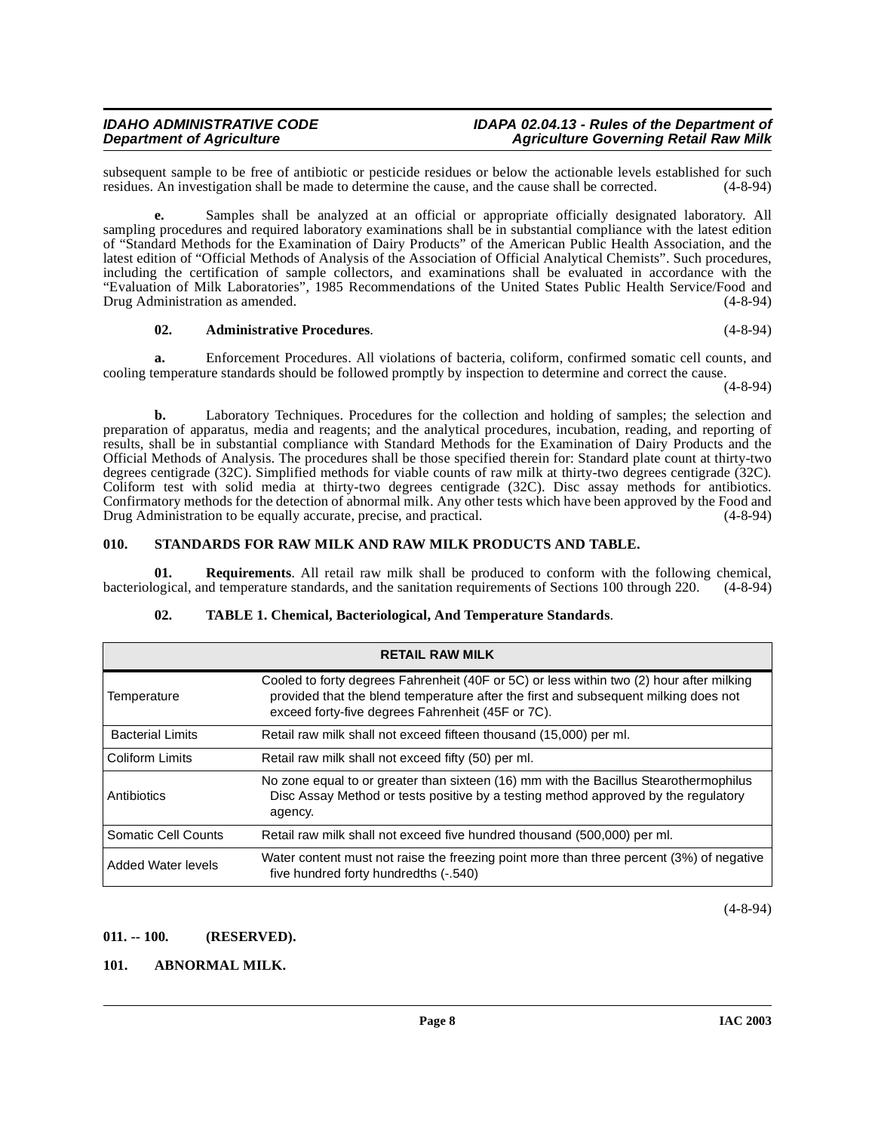subsequent sample to be free of antibiotic or pesticide residues or below the actionable levels established for such residues. An investigation shall be made to determine the cause, and the cause shall be corrected. (4-8-9 residues. An investigation shall be made to determine the cause, and the cause shall be corrected.

**e.** Samples shall be analyzed at an official or appropriate officially designated laboratory. All sampling procedures and required laboratory examinations shall be in substantial compliance with the latest edition of "Standard Methods for the Examination of Dairy Products" of the American Public Health Association, and the latest edition of "Official Methods of Analysis of the Association of Official Analytical Chemists". Such procedures, including the certification of sample collectors, and examinations shall be evaluated in accordance with the "Evaluation of Milk Laboratories", 1985 Recommendations of the United States Public Health Service/Food and Drug Administration as amended. (4-8-94)

#### **02. Administrative Procedures**. (4-8-94)

**a.** Enforcement Procedures. All violations of bacteria, coliform, confirmed somatic cell counts, and cooling temperature standards should be followed promptly by inspection to determine and correct the cause.

(4-8-94)

**b.** Laboratory Techniques. Procedures for the collection and holding of samples; the selection and preparation of apparatus, media and reagents; and the analytical procedures, incubation, reading, and reporting of results, shall be in substantial compliance with Standard Methods for the Examination of Dairy Products and the Official Methods of Analysis. The procedures shall be those specified therein for: Standard plate count at thirty-two degrees centigrade (32C). Simplified methods for viable counts of raw milk at thirty-two degrees centigrade (32C). Coliform test with solid media at thirty-two degrees centigrade (32C). Disc assay methods for antibiotics. Confirmatory methods for the detection of abnormal milk. Any other tests which have been approved by the Food and Drug Administration to be equally accurate, precise, and practical. (4-8-94)

#### <span id="page-7-5"></span><span id="page-7-0"></span>**010. STANDARDS FOR RAW MILK AND RAW MILK PRODUCTS AND TABLE.**

**01. Requirements**. All retail raw milk shall be produced to conform with the following chemical, bacteriological, and temperature standards, and the sanitation requirements of Sections 100 through 220. (4-8-94)

| <b>RETAIL RAW MILK</b>  |                                                                                                                                                                                                                                      |  |  |  |
|-------------------------|--------------------------------------------------------------------------------------------------------------------------------------------------------------------------------------------------------------------------------------|--|--|--|
| Temperature             | Cooled to forty degrees Fahrenheit (40F or 5C) or less within two (2) hour after milking<br>provided that the blend temperature after the first and subsequent milking does not<br>exceed forty-five degrees Fahrenheit (45F or 7C). |  |  |  |
| <b>Bacterial Limits</b> | Retail raw milk shall not exceed fifteen thousand (15,000) per ml.                                                                                                                                                                   |  |  |  |
| <b>Coliform Limits</b>  | Retail raw milk shall not exceed fifty (50) per ml.                                                                                                                                                                                  |  |  |  |
| Antibiotics             | No zone equal to or greater than sixteen (16) mm with the Bacillus Stearothermophilus<br>Disc Assay Method or tests positive by a testing method approved by the regulatory<br>agency.                                               |  |  |  |
| Somatic Cell Counts     | Retail raw milk shall not exceed five hundred thousand (500,000) per ml.                                                                                                                                                             |  |  |  |
| Added Water levels      | Water content must not raise the freezing point more than three percent (3%) of negative<br>five hundred forty hundredths (-.540)                                                                                                    |  |  |  |

# <span id="page-7-4"></span>**02. TABLE 1. Chemical, Bacteriological, And Temperature Standards**.

(4-8-94)

#### <span id="page-7-1"></span>**011. -- 100. (RESERVED).**

# <span id="page-7-3"></span><span id="page-7-2"></span>**101. ABNORMAL MILK.**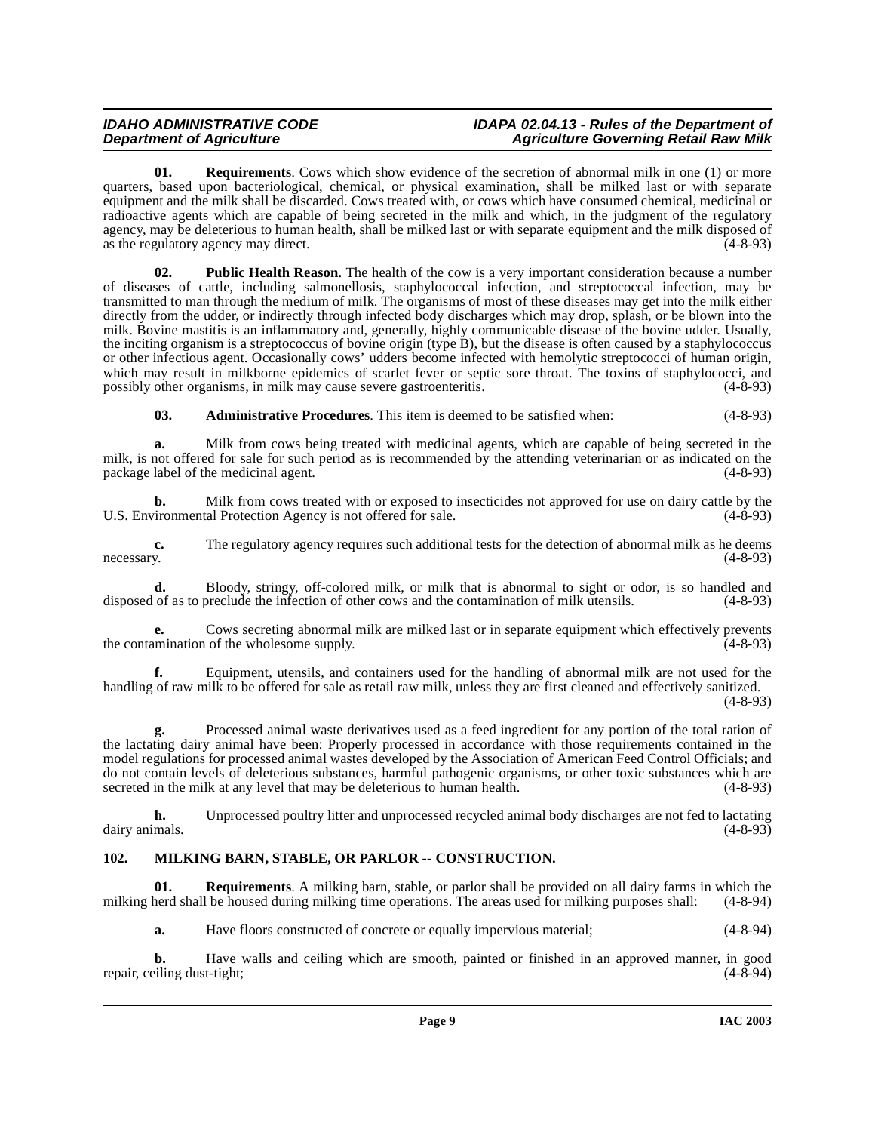**01. Requirements**. Cows which show evidence of the secretion of abnormal milk in one (1) or more quarters, based upon bacteriological, chemical, or physical examination, shall be milked last or with separate equipment and the milk shall be discarded. Cows treated with, or cows which have consumed chemical, medicinal or radioactive agents which are capable of being secreted in the milk and which, in the judgment of the regulatory agency, may be deleterious to human health, shall be milked last or with separate equipment and the milk disposed of as the regulatory agency may direct. as the regulatory agency may direct.

<span id="page-8-2"></span>**02. Public Health Reason**. The health of the cow is a very important consideration because a number of diseases of cattle, including salmonellosis, staphylococcal infection, and streptococcal infection, may be transmitted to man through the medium of milk. The organisms of most of these diseases may get into the milk either directly from the udder, or indirectly through infected body discharges which may drop, splash, or be blown into the milk. Bovine mastitis is an inflammatory and, generally, highly communicable disease of the bovine udder. Usually, the inciting organism is a streptococcus of bovine origin (type B), but the disease is often caused by a staphylococcus or other infectious agent. Occasionally cows' udders become infected with hemolytic streptococci of human origin, which may result in milkborne epidemics of scarlet fever or septic sore throat. The toxins of staphylococci, and possibly other organisms, in milk may cause severe gastroenteritis. (4-8-93)

**03. Administrative Procedures**. This item is deemed to be satisfied when: (4-8-93)

**a.** Milk from cows being treated with medicinal agents, which are capable of being secreted in the milk, is not offered for sale for such period as is recommended by the attending veterinarian or as indicated on the package label of the medicinal agent. (4-8-93) package label of the medicinal agent.

**b.** Milk from cows treated with or exposed to insecticides not approved for use on dairy cattle by the U.S. Environmental Protection Agency is not offered for sale. (4-8-93)

**c.** The regulatory agency requires such additional tests for the detection of abnormal milk as he deems y.  $(4-8-93)$ necessary. (4-8-93)

**d.** Bloody, stringy, off-colored milk, or milk that is abnormal to sight or odor, is so handled and of as to preclude the infection of other cows and the contamination of milk utensils. (4-8-93) disposed of as to preclude the infection of other cows and the contamination of milk utensils.

**e.** Cows secreting abnormal milk are milked last or in separate equipment which effectively prevents the contamination of the wholesome supply. (4-8-93)

**f.** Equipment, utensils, and containers used for the handling of abnormal milk are not used for the handling of raw milk to be offered for sale as retail raw milk, unless they are first cleaned and effectively sanitized. (4-8-93)

**g.** Processed animal waste derivatives used as a feed ingredient for any portion of the total ration of the lactating dairy animal have been: Properly processed in accordance with those requirements contained in the model regulations for processed animal wastes developed by the Association of American Feed Control Officials; and do not contain levels of deleterious substances, harmful pathogenic organisms, or other toxic substances which are secreted in the milk at any level that may be deleterious to human health. (4-8-93)

**h.** Unprocessed poultry litter and unprocessed recycled animal body discharges are not fed to lactating dairy animals. (4-8-93)

# <span id="page-8-1"></span><span id="page-8-0"></span>**102. MILKING BARN, STABLE, OR PARLOR -- CONSTRUCTION.**

**01. Requirements**. A milking barn, stable, or parlor shall be provided on all dairy farms in which the milking herd shall be housed during milking time operations. The areas used for milking purposes shall: (4-8-94)

**a.** Have floors constructed of concrete or equally impervious material; (4-8-94)

**b.** Have walls and ceiling which are smooth, painted or finished in an approved manner, in good is eiling dust-tight; (4-8-94) repair, ceiling dust-tight;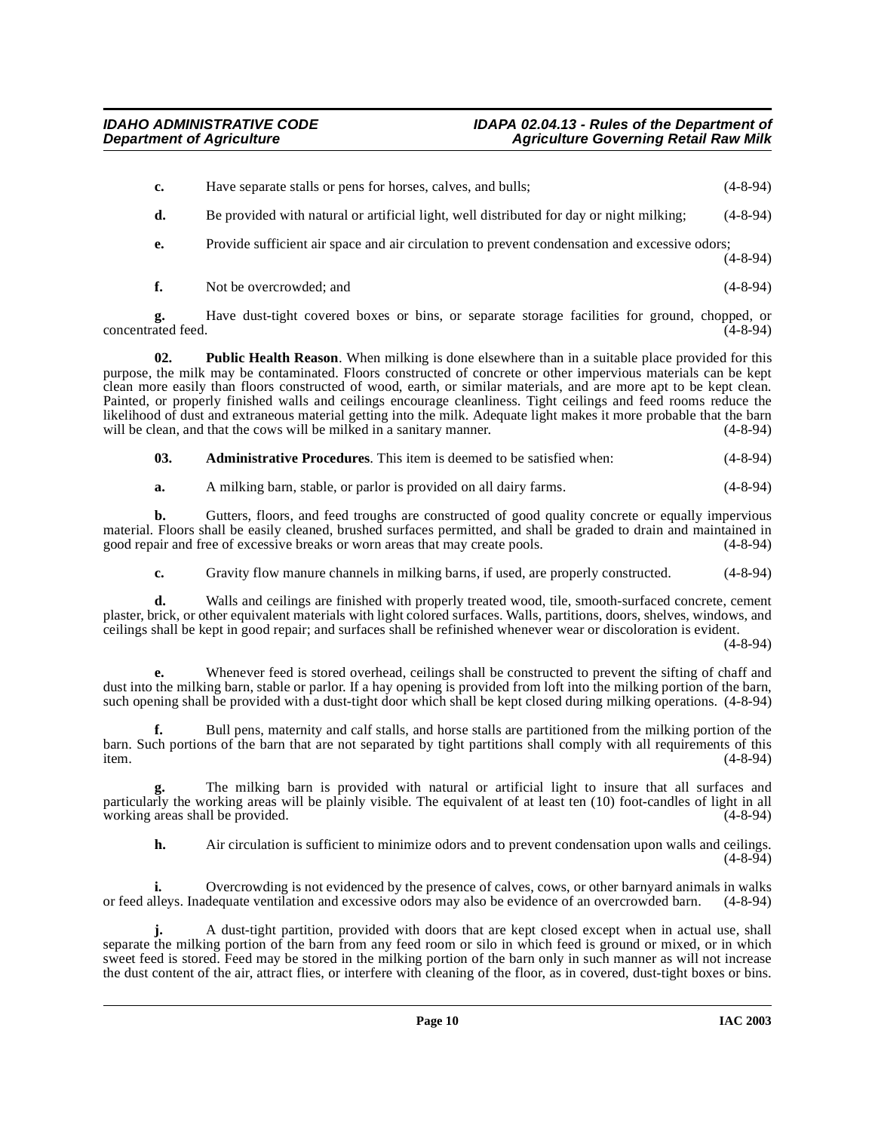|  | Have separate stalls or pens for horses, calves, and bulls; | $(4-8-94)$ |
|--|-------------------------------------------------------------|------------|
|--|-------------------------------------------------------------|------------|

- **d.** Be provided with natural or artificial light, well distributed for day or night milking; (4-8-94)
- **e.** Provide sufficient air space and air circulation to prevent condensation and excessive odors;

 $(4 - 8 - 94)$ 

**f.** Not be overcrowded; and (4-8-94)

**g.** Have dust-tight covered boxes or bins, or separate storage facilities for ground, chopped, or ated feed. (4-8-94) concentrated feed.

**02. Public Health Reason**. When milking is done elsewhere than in a suitable place provided for this purpose, the milk may be contaminated. Floors constructed of concrete or other impervious materials can be kept clean more easily than floors constructed of wood, earth, or similar materials, and are more apt to be kept clean. Painted, or properly finished walls and ceilings encourage cleanliness. Tight ceilings and feed rooms reduce the likelihood of dust and extraneous material getting into the milk. Adequate light makes it more probable that the barn will be clean, and that the cows will be milked in a sanitary manner. (4-8-94)

- **03. Administrative Procedures**. This item is deemed to be satisfied when: (4-8-94)
- **a.** A milking barn, stable, or parlor is provided on all dairy farms. (4-8-94)

**b.** Gutters, floors, and feed troughs are constructed of good quality concrete or equally impervious material. Floors shall be easily cleaned, brushed surfaces permitted, and shall be graded to drain and maintained in good repair and free of excessive breaks or worn areas that may create pools. (4-8-94) good repair and free of excessive breaks or worn areas that may create pools.

**c.** Gravity flow manure channels in milking barns, if used, are properly constructed.  $(4-8-94)$ 

**d.** Walls and ceilings are finished with properly treated wood, tile, smooth-surfaced concrete, cement plaster, brick, or other equivalent materials with light colored surfaces. Walls, partitions, doors, shelves, windows, and ceilings shall be kept in good repair; and surfaces shall be refinished whenever wear or discoloration is evident.

(4-8-94)

**e.** Whenever feed is stored overhead, ceilings shall be constructed to prevent the sifting of chaff and dust into the milking barn, stable or parlor. If a hay opening is provided from loft into the milking portion of the barn, such opening shall be provided with a dust-tight door which shall be kept closed during milking operations. (4-8-94)

**f.** Bull pens, maternity and calf stalls, and horse stalls are partitioned from the milking portion of the barn. Such portions of the barn that are not separated by tight partitions shall comply with all requirements of this item. (4-8-94)

**g.** The milking barn is provided with natural or artificial light to insure that all surfaces and particularly the working areas will be plainly visible. The equivalent of at least ten (10) foot-candles of light in all working areas shall be provided. working areas shall be provided.

**h.** Air circulation is sufficient to minimize odors and to prevent condensation upon walls and ceilings.  $(4 - 8 - 94)$ 

**i.** Overcrowding is not evidenced by the presence of calves, cows, or other barnyard animals in walks or feed alleys. Inadequate ventilation and excessive odors may also be evidence of an overcrowded barn. (4-8-94)

**j.** A dust-tight partition, provided with doors that are kept closed except when in actual use, shall separate the milking portion of the barn from any feed room or silo in which feed is ground or mixed, or in which sweet feed is stored. Feed may be stored in the milking portion of the barn only in such manner as will not increase the dust content of the air, attract flies, or interfere with cleaning of the floor, as in covered, dust-tight boxes or bins.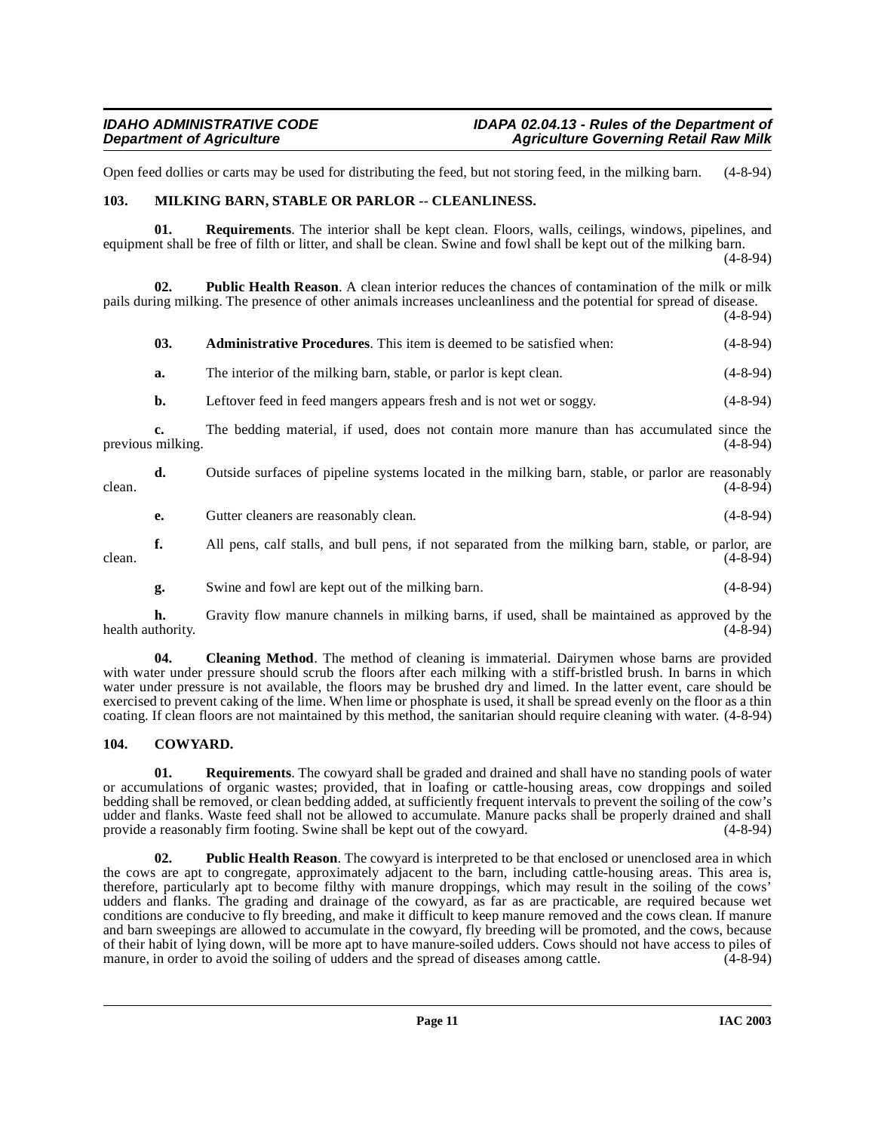Open feed dollies or carts may be used for distributing the feed, but not storing feed, in the milking barn. (4-8-94)

### <span id="page-10-4"></span><span id="page-10-0"></span>**103. MILKING BARN, STABLE OR PARLOR -- CLEANLINESS.**

**01. Requirements**. The interior shall be kept clean. Floors, walls, ceilings, windows, pipelines, and equipment shall be free of filth or litter, and shall be clean. Swine and fowl shall be kept out of the milking barn. (4-8-94)

**02. Public Health Reason**. A clean interior reduces the chances of contamination of the milk or milk pails during milking. The presence of other animals increases uncleanliness and the potential for spread of disease.  $(4 - 8 - 94)$ 

|        | 03.                     | <b>Administrative Procedures.</b> This item is deemed to be satisfied when:                          | $(4-8-94)$     |
|--------|-------------------------|------------------------------------------------------------------------------------------------------|----------------|
|        | a.                      | The interior of the milking barn, stable, or parlor is kept clean.                                   | $(4-8-94)$     |
|        | b.                      | Leftover feed in feed mangers appears fresh and is not wet or soggy.                                 | $(4-8-94)$     |
|        | c.<br>previous milking. | The bedding material, if used, does not contain more manure than has accumulated since the           | $(4 - 8 - 94)$ |
| clean. | d.                      | Outside surfaces of pipeline systems located in the milking barn, stable, or parlor are reasonably   | $(4-8-94)$     |
|        | е.                      | Gutter cleaners are reasonably clean.                                                                | $(4-8-94)$     |
| clean. | f.                      | All pens, calf stalls, and bull pens, if not separated from the milking barn, stable, or parlor, are | $(4-8-94)$     |

<span id="page-10-2"></span>**g.** Swine and fowl are kept out of the milking barn. (4-8-94)

**h.** Gravity flow manure channels in milking barns, if used, shall be maintained as approved by the thority. (4-8-94) health authority.

**04.** Cleaning Method. The method of cleaning is immaterial. Dairymen whose barns are provided with water under pressure should scrub the floors after each milking with a stiff-bristled brush. In barns in which water under pressure is not available, the floors may be brushed dry and limed. In the latter event, care should be exercised to prevent caking of the lime. When lime or phosphate is used, it shall be spread evenly on the floor as a thin coating. If clean floors are not maintained by this method, the sanitarian should require cleaning with water. (4-8-94)

# <span id="page-10-3"></span><span id="page-10-1"></span>**104. COWYARD.**

**01. Requirements**. The cowyard shall be graded and drained and shall have no standing pools of water or accumulations of organic wastes; provided, that in loafing or cattle-housing areas, cow droppings and soiled bedding shall be removed, or clean bedding added, at sufficiently frequent intervals to prevent the soiling of the cow's udder and flanks. Waste feed shall not be allowed to accumulate. Manure packs shall be properly drained and shall provide a reasonably firm footing. Swine shall be kept out of the cowyard. (4-8-94)

**02. Public Health Reason**. The cowyard is interpreted to be that enclosed or unenclosed area in which the cows are apt to congregate, approximately adjacent to the barn, including cattle-housing areas. This area is, therefore, particularly apt to become filthy with manure droppings, which may result in the soiling of the cows' udders and flanks. The grading and drainage of the cowyard, as far as are practicable, are required because wet conditions are conducive to fly breeding, and make it difficult to keep manure removed and the cows clean. If manure and barn sweepings are allowed to accumulate in the cowyard, fly breeding will be promoted, and the cows, because of their habit of lying down, will be more apt to have manure-soiled udders. Cows should not have access to piles of manure, in order to avoid the soiling of udders and the spread of diseases among cattle. (4-8-94) manure, in order to avoid the soiling of udders and the spread of diseases among cattle.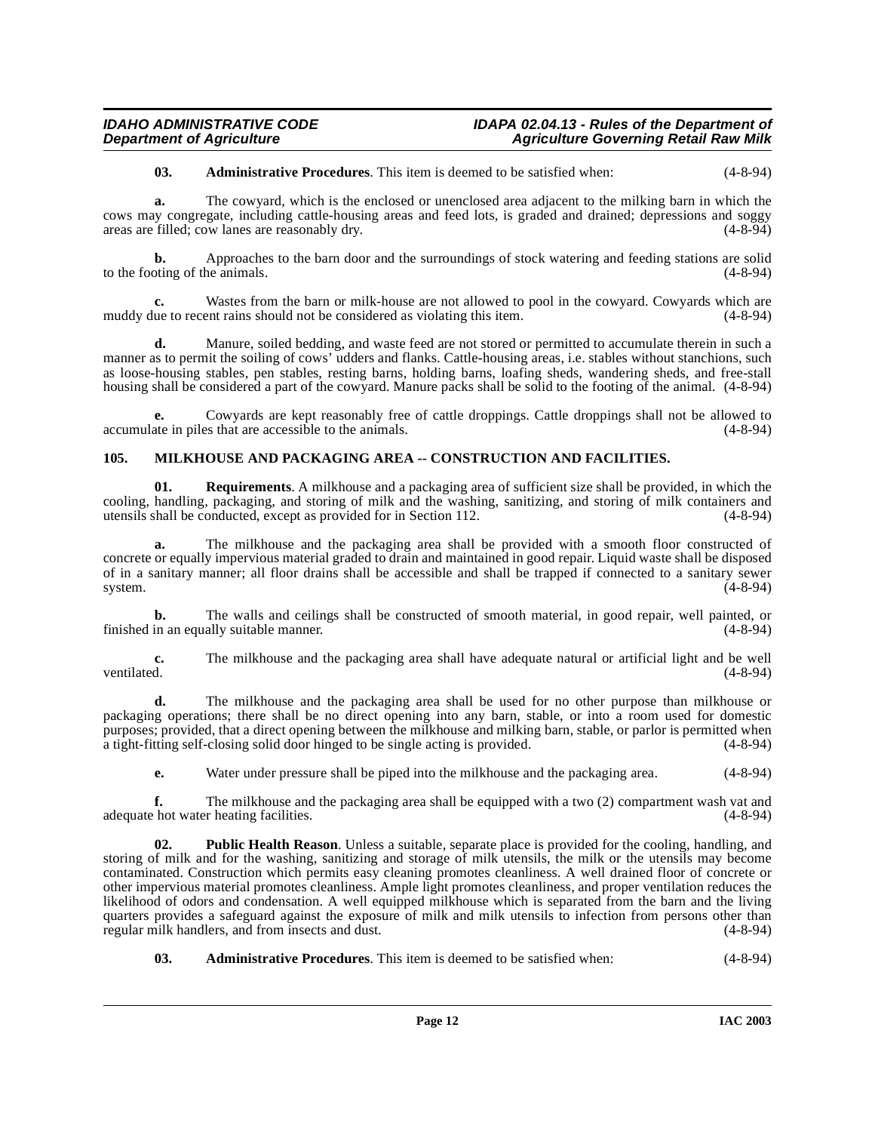**03. Administrative Procedures**. This item is deemed to be satisfied when: (4-8-94)

**a.** The cowyard, which is the enclosed or unenclosed area adjacent to the milking barn in which the cows may congregate, including cattle-housing areas and feed lots, is graded and drained; depressions and soggy areas are filled; cow lanes are reasonably dry. (4-8-94) areas are filled; cow lanes are reasonably dry.

**b.** Approaches to the barn door and the surroundings of stock watering and feeding stations are solid oting of the animals. (4-8-94) to the footing of the animals.

Wastes from the barn or milk-house are not allowed to pool in the cowyard. Cowyards which are muddy due to recent rains should not be considered as violating this item. (4-8-94)

**d.** Manure, soiled bedding, and waste feed are not stored or permitted to accumulate therein in such a manner as to permit the soiling of cows' udders and flanks. Cattle-housing areas, i.e. stables without stanchions, such as loose-housing stables, pen stables, resting barns, holding barns, loafing sheds, wandering sheds, and free-stall housing shall be considered a part of the cowyard. Manure packs shall be solid to the footing of the animal. (4-8-94)

**e.** Cowyards are kept reasonably free of cattle droppings. Cattle droppings shall not be allowed to accumulate in piles that are accessible to the animals. (4-8-94)

# <span id="page-11-1"></span><span id="page-11-0"></span>**105. MILKHOUSE AND PACKAGING AREA -- CONSTRUCTION AND FACILITIES.**

**01. Requirements**. A milkhouse and a packaging area of sufficient size shall be provided, in which the cooling, handling, packaging, and storing of milk and the washing, sanitizing, and storing of milk containers and utensils shall be conducted, except as provided for in Section 112. (4-8-94)

**a.** The milkhouse and the packaging area shall be provided with a smooth floor constructed of concrete or equally impervious material graded to drain and maintained in good repair. Liquid waste shall be disposed of in a sanitary manner; all floor drains shall be accessible and shall be trapped if connected to a sanitary sewer system. (4-8-94)

**b.** The walls and ceilings shall be constructed of smooth material, in good repair, well painted, or in an equally suitable manner. (4-8-94) finished in an equally suitable manner.

**c.** The milkhouse and the packaging area shall have adequate natural or artificial light and be well ventilated. (4-8-94) ventilated. (4-8-94)

**d.** The milkhouse and the packaging area shall be used for no other purpose than milkhouse or packaging operations; there shall be no direct opening into any barn, stable, or into a room used for domestic purposes; provided, that a direct opening between the milkhouse and milking barn, stable, or parlor is permitted when a tight-fitting self-closing solid door hinged to be single acting is provided. (4-8-94) a tight-fitting self-closing solid door hinged to be single acting is provided.

**e.** Water under pressure shall be piped into the milkhouse and the packaging area. (4-8-94)

**f.** The milkhouse and the packaging area shall be equipped with a two (2) compartment wash vat and hot water heating facilities. (4-8-94) adequate hot water heating facilities.

**Public Health Reason**. Unless a suitable, separate place is provided for the cooling, handling, and storing of milk and for the washing, sanitizing and storage of milk utensils, the milk or the utensils may become contaminated. Construction which permits easy cleaning promotes cleanliness. A well drained floor of concrete or other impervious material promotes cleanliness. Ample light promotes cleanliness, and proper ventilation reduces the likelihood of odors and condensation. A well equipped milkhouse which is separated from the barn and the living quarters provides a safeguard against the exposure of milk and milk utensils to infection from persons other than regular milk handlers, and from insects and dust. (4-8-94)

**03. Administrative Procedures**. This item is deemed to be satisfied when: (4-8-94)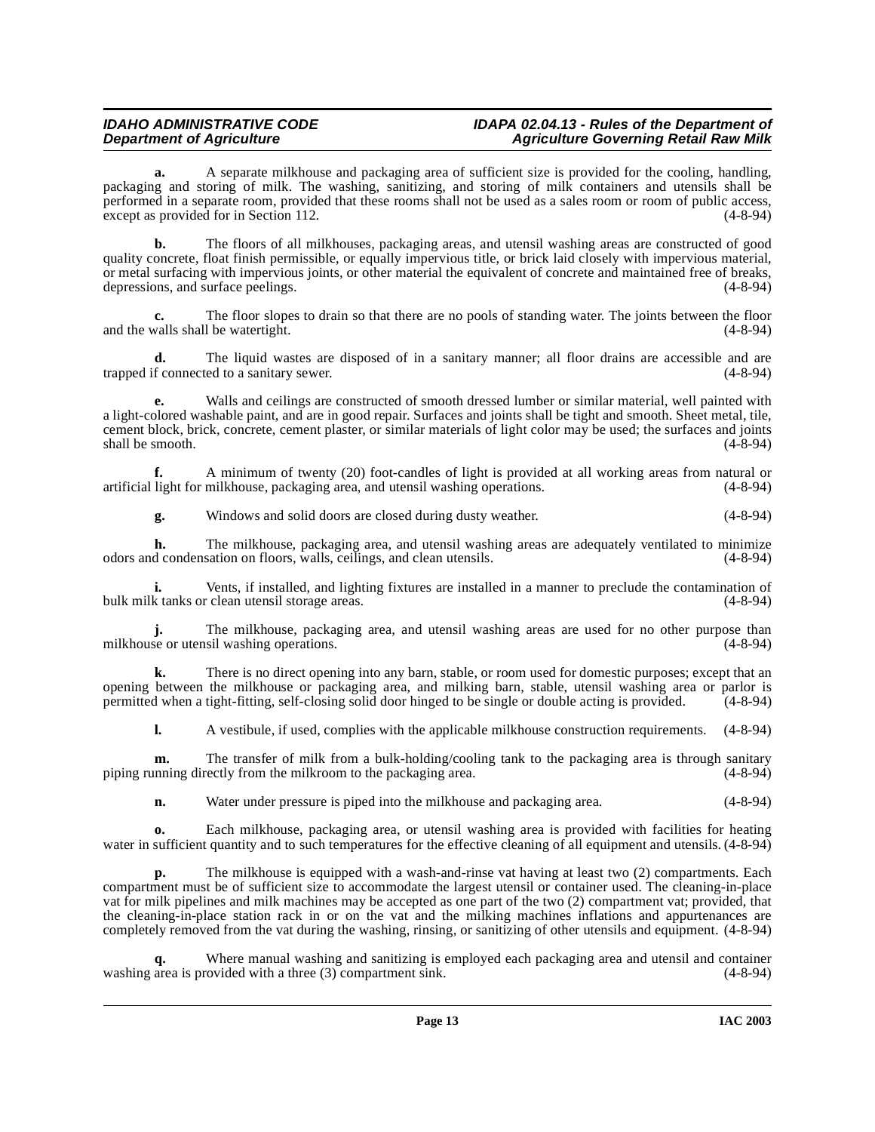**a.** A separate milkhouse and packaging area of sufficient size is provided for the cooling, handling, packaging and storing of milk. The washing, sanitizing, and storing of milk containers and utensils shall be performed in a separate room, provided that these rooms shall not be used as a sales room or room of public access, except as provided for in Section 112. except as provided for in Section 112.

**b.** The floors of all milkhouses, packaging areas, and utensil washing areas are constructed of good quality concrete, float finish permissible, or equally impervious title, or brick laid closely with impervious material, or metal surfacing with impervious joints, or other material the equivalent of concrete and maintained free of breaks, depressions, and surface peelings.

The floor slopes to drain so that there are no pools of standing water. The joints between the floor 1 be watertight. (4-8-94) and the walls shall be watertight.

**d.** The liquid wastes are disposed of in a sanitary manner; all floor drains are accessible and are trapped if connected to a sanitary sewer. (4-8-94)

**e.** Walls and ceilings are constructed of smooth dressed lumber or similar material, well painted with a light-colored washable paint, and are in good repair. Surfaces and joints shall be tight and smooth. Sheet metal, tile, cement block, brick, concrete, cement plaster, or similar materials of light color may be used; the surfaces and joints  $\text{shall be smooth.}$  (4-8-94)

**f.** A minimum of twenty (20) foot-candles of light is provided at all working areas from natural or light for milkhouse, packaging area, and utensil washing operations. (4-8-94) artificial light for milkhouse, packaging area, and utensil washing operations.

**g.** Windows and solid doors are closed during dusty weather. (4-8-94)

**h.** The milkhouse, packaging area, and utensil washing areas are adequately ventilated to minimize d condensation on floors, walls, ceilings, and clean utensils. odors and condensation on floors, walls, ceilings, and clean utensils.

**i.** Vents, if installed, and lighting fixtures are installed in a manner to preclude the contamination of k tanks or clean utensil storage areas. (4-8-94) bulk milk tanks or clean utensil storage areas.

**j.** The milkhouse, packaging area, and utensil washing areas are used for no other purpose than milkhouse or utensil washing operations. (4-8-94)

**k.** There is no direct opening into any barn, stable, or room used for domestic purposes; except that an opening between the milkhouse or packaging area, and milking barn, stable, utensil washing area or parlor is permitted when a tight-fitting, self-closing solid door hinged to be single or double acting is provided. (4-8-94 permitted when a tight-fitting, self-closing solid door hinged to be single or double acting is provided.

**l.** A vestibule, if used, complies with the applicable milkhouse construction requirements.  $(4-8-94)$ 

**m.** The transfer of milk from a bulk-holding/cooling tank to the packaging area is through sanitary piping running directly from the milkroom to the packaging area. (4-8-94)

**n.** Water under pressure is piped into the milkhouse and packaging area. (4-8-94)

**o.** Each milkhouse, packaging area, or utensil washing area is provided with facilities for heating water in sufficient quantity and to such temperatures for the effective cleaning of all equipment and utensils.  $(4-8-94)$ 

**p.** The milkhouse is equipped with a wash-and-rinse vat having at least two (2) compartments. Each compartment must be of sufficient size to accommodate the largest utensil or container used. The cleaning-in-place vat for milk pipelines and milk machines may be accepted as one part of the two (2) compartment vat; provided, that the cleaning-in-place station rack in or on the vat and the milking machines inflations and appurtenances are completely removed from the vat during the washing, rinsing, or sanitizing of other utensils and equipment. (4-8-94)

Where manual washing and sanitizing is employed each packaging area and utensil and container ovided with a three (3) compartment sink. (4-8-94) washing area is provided with a three  $(3)$  compartment sink.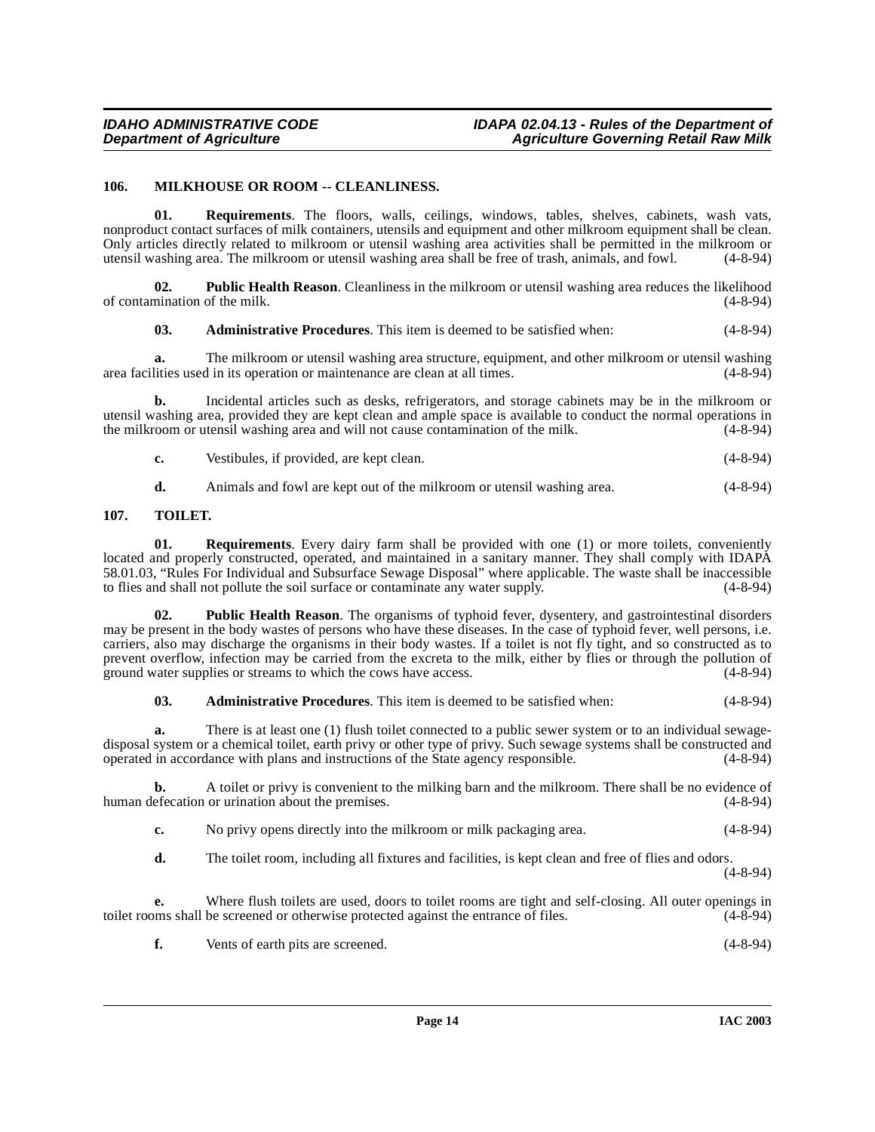#### <span id="page-13-2"></span><span id="page-13-0"></span>**106. MILKHOUSE OR ROOM -- CLEANLINESS.**

**01. Requirements**. The floors, walls, ceilings, windows, tables, shelves, cabinets, wash vats, nonproduct contact surfaces of milk containers, utensils and equipment and other milkroom equipment shall be clean. Only articles directly related to milkroom or utensil washing area activities shall be permitted in the milkroom or utensil washing area shall be free of trash, animals, and fowl. (4-8-94) utensil washing area. The milkroom or utensil washing area shall be free of trash, animals, and fowl.

**02. Public Health Reason**. Cleanliness in the milkroom or utensil washing area reduces the likelihood of contamination of the milk. (4-8-94)

**03. Administrative Procedures**. This item is deemed to be satisfied when: (4-8-94)

**a.** The milkroom or utensil washing area structure, equipment, and other milkroom or utensil washing area facilities used in its operation or maintenance are clean at all times. (4-8-94)

**b.** Incidental articles such as desks, refrigerators, and storage cabinets may be in the milkroom or utensil washing area, provided they are kept clean and ample space is available to conduct the normal operations in the milkroom or utensil washing area and will not cause contamination of the milk. (4-8-94)

**c.** Vestibules, if provided, are kept clean. (4-8-94)

<span id="page-13-3"></span>**d.** Animals and fowl are kept out of the milkroom or utensil washing area. (4-8-94)

#### <span id="page-13-1"></span>**107. TOILET.**

**01. Requirements**[. Every dairy farm shall be provided with one \(1\) or more toilets, conveniently](http://www2.state.id.us/adm/adminrules/rules/idapa58/0103.pdf) located and properly constructed, operated, and maintained in a sanitary manner. They shall comply with IDAPA [58.01.03, "Rules For Individual and Subsurface Sewage Disposal" where applicable. The waste shall be inaccessible](http://www2.state.id.us/adm/adminrules/rules/idapa58/0103.pdf) to flies and shall not pollute the soil surface or contaminate any water supply. (4-8-94)

**02. Public Health Reason**. The organisms of typhoid fever, dysentery, and gastrointestinal disorders may be present in the body wastes of persons who have these diseases. In the case of typhoid fever, well persons, i.e. carriers, also may discharge the organisms in their body wastes. If a toilet is not fly tight, and so constructed as to prevent overflow, infection may be carried from the excreta to the milk, either by flies or through the pollution of ground water supplies or streams to which the cows have access. (4-8-94) ground water supplies or streams to which the cows have access.

**03. Administrative Procedures**. This item is deemed to be satisfied when: (4-8-94)

**a.** There is at least one (1) flush toilet connected to a public sewer system or to an individual sewagedisposal system or a chemical toilet, earth privy or other type of privy. Such sewage systems shall be constructed and operated in accordance with plans and instructions of the State agency responsible. (4-8-94) operated in accordance with plans and instructions of the State agency responsible. (4-8-94)

**b.** A toilet or privy is convenient to the milking barn and the milkroom. There shall be no evidence of human defecation or urination about the premises. (4-8-94)

**c.** No privy opens directly into the milkroom or milk packaging area. (4-8-94)

**d.** The toilet room, including all fixtures and facilities, is kept clean and free of flies and odors.

(4-8-94)

**e.** Where flush toilets are used, doors to toilet rooms are tight and self-closing. All outer openings in toilet rooms shall be screened or otherwise protected against the entrance of files. (4-8-94)

**f.** Vents of earth pits are screened. (4-8-94)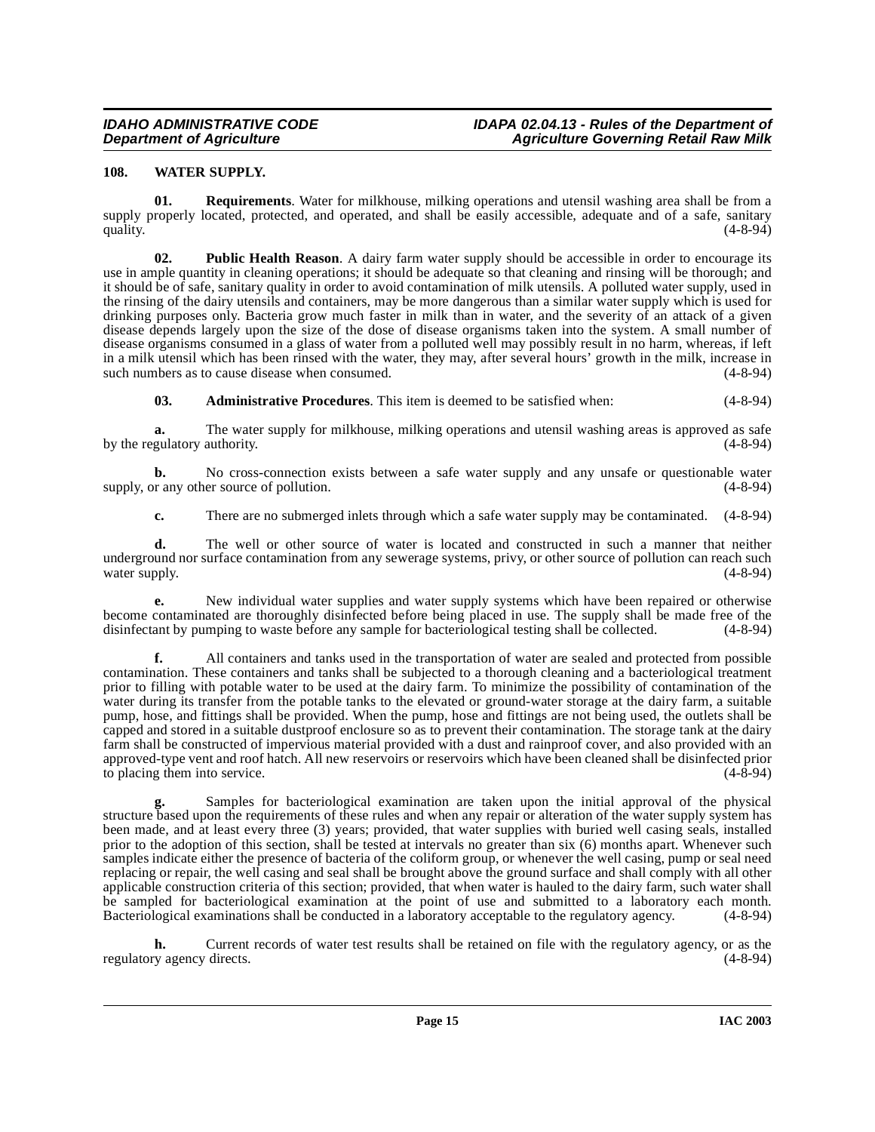# <span id="page-14-1"></span><span id="page-14-0"></span>**108. WATER SUPPLY.**

**01. Requirements**. Water for milkhouse, milking operations and utensil washing area shall be from a supply properly located, protected, and operated, and shall be easily accessible, adequate and of a safe, sanitary quality. (4-8-94) quality.  $(4-8-94)$ 

**02. Public Health Reason**. A dairy farm water supply should be accessible in order to encourage its use in ample quantity in cleaning operations; it should be adequate so that cleaning and rinsing will be thorough; and it should be of safe, sanitary quality in order to avoid contamination of milk utensils. A polluted water supply, used in the rinsing of the dairy utensils and containers, may be more dangerous than a similar water supply which is used for drinking purposes only. Bacteria grow much faster in milk than in water, and the severity of an attack of a given disease depends largely upon the size of the dose of disease organisms taken into the system. A small number of disease organisms consumed in a glass of water from a polluted well may possibly result in no harm, whereas, if left in a milk utensil which has been rinsed with the water, they may, after several hours' growth in the milk, increase in such numbers as to cause disease when consumed. (4-8-94)

**03. Administrative Procedures**. This item is deemed to be satisfied when: (4-8-94)

**a.** The water supply for milkhouse, milking operations and utensil washing areas is approved as safe by the regulatory authority. (4-8-94)

**b.** No cross-connection exists between a safe water supply and any unsafe or questionable water any other source of pollution. (4-8-94) supply, or any other source of pollution.

**c.** There are no submerged inlets through which a safe water supply may be contaminated.  $(4-8-94)$ 

**d.** The well or other source of water is located and constructed in such a manner that neither underground nor surface contamination from any sewerage systems, privy, or other source of pollution can reach such water supply.

**e.** New individual water supplies and water supply systems which have been repaired or otherwise become contaminated are thoroughly disinfected before being placed in use. The supply shall be made free of the disinfectant by pumping to waste before any sample for bacteriological testing shall be collected. (4-8-94) disinfectant by pumping to waste before any sample for bacteriological testing shall be collected.

**f.** All containers and tanks used in the transportation of water are sealed and protected from possible contamination. These containers and tanks shall be subjected to a thorough cleaning and a bacteriological treatment prior to filling with potable water to be used at the dairy farm. To minimize the possibility of contamination of the water during its transfer from the potable tanks to the elevated or ground-water storage at the dairy farm, a suitable pump, hose, and fittings shall be provided. When the pump, hose and fittings are not being used, the outlets shall be capped and stored in a suitable dustproof enclosure so as to prevent their contamination. The storage tank at the dairy farm shall be constructed of impervious material provided with a dust and rainproof cover, and also provided with an approved-type vent and roof hatch. All new reservoirs or reservoirs which have been cleaned shall be disinfected prior to placing them into service. (4-8-94)

**g.** Samples for bacteriological examination are taken upon the initial approval of the physical structure based upon the requirements of these rules and when any repair or alteration of the water supply system has been made, and at least every three (3) years; provided, that water supplies with buried well casing seals, installed prior to the adoption of this section, shall be tested at intervals no greater than six (6) months apart. Whenever such samples indicate either the presence of bacteria of the coliform group, or whenever the well casing, pump or seal need replacing or repair, the well casing and seal shall be brought above the ground surface and shall comply with all other applicable construction criteria of this section; provided, that when water is hauled to the dairy farm, such water shall be sampled for bacteriological examination at the point of use and submitted to a laboratory each month. Bacteriological examinations shall be conducted in a laboratory acceptable to the regulatory agency. (4-8-94)

**h.** Current records of water test results shall be retained on file with the regulatory agency, or as the ry agency directs. (4-8-94) regulatory agency directs.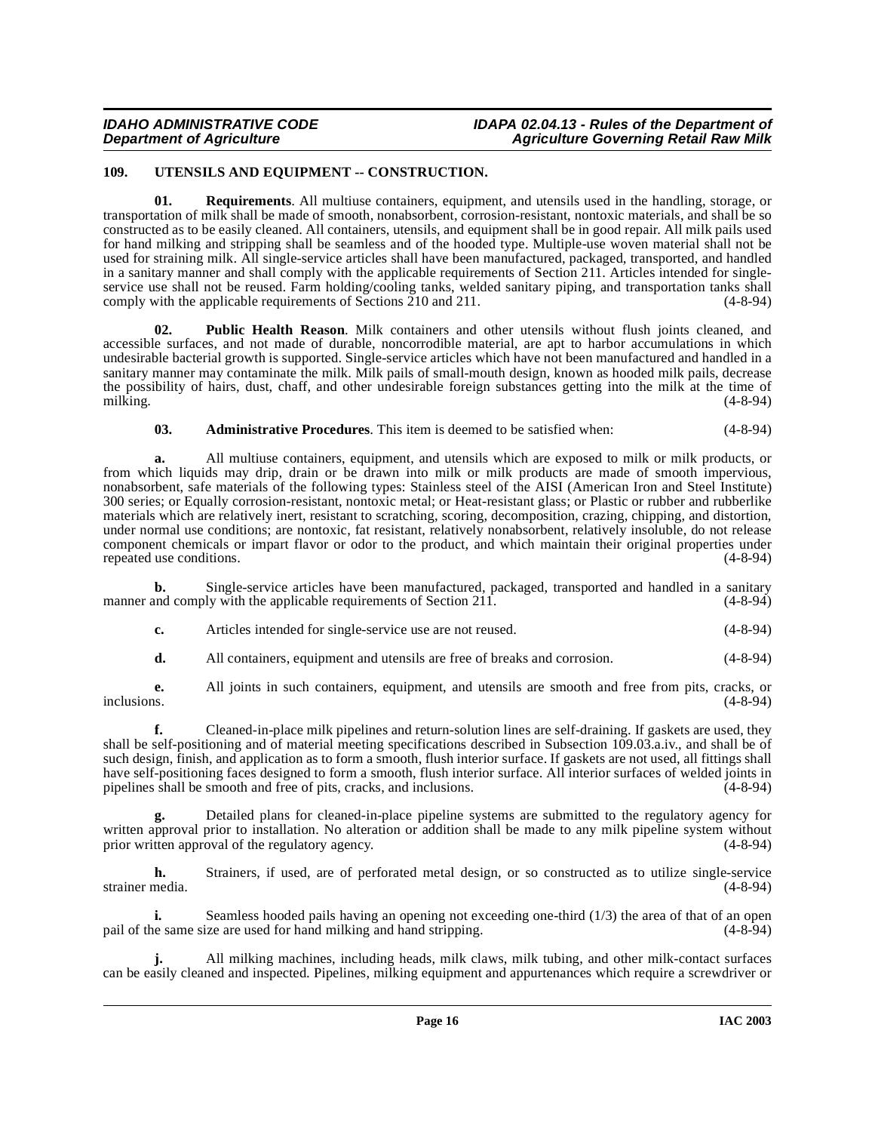# <span id="page-15-1"></span><span id="page-15-0"></span>**109. UTENSILS AND EQUIPMENT -- CONSTRUCTION.**

**01. Requirements**. All multiuse containers, equipment, and utensils used in the handling, storage, or transportation of milk shall be made of smooth, nonabsorbent, corrosion-resistant, nontoxic materials, and shall be so constructed as to be easily cleaned. All containers, utensils, and equipment shall be in good repair. All milk pails used for hand milking and stripping shall be seamless and of the hooded type. Multiple-use woven material shall not be used for straining milk. All single-service articles shall have been manufactured, packaged, transported, and handled in a sanitary manner and shall comply with the applicable requirements of Section 211. Articles intended for singleservice use shall not be reused. Farm holding/cooling tanks, welded sanitary piping, and transportation tanks shall comply with the applicable requirements of Sections  $\overline{2}10$  and  $211$ . (4-8-94)

**02. Public Health Reason**. Milk containers and other utensils without flush joints cleaned, and accessible surfaces, and not made of durable, noncorrodible material, are apt to harbor accumulations in which undesirable bacterial growth is supported. Single-service articles which have not been manufactured and handled in a sanitary manner may contaminate the milk. Milk pails of small-mouth design, known as hooded milk pails, decrease the possibility of hairs, dust, chaff, and other undesirable foreign substances getting into the milk at the time of milking. (4-8-94) milking. (4-8-94)

#### **03. Administrative Procedures**. This item is deemed to be satisfied when: (4-8-94)

**a.** All multiuse containers, equipment, and utensils which are exposed to milk or milk products, or from which liquids may drip, drain or be drawn into milk or milk products are made of smooth impervious, nonabsorbent, safe materials of the following types: Stainless steel of the AISI (American Iron and Steel Institute) 300 series; or Equally corrosion-resistant, nontoxic metal; or Heat-resistant glass; or Plastic or rubber and rubberlike materials which are relatively inert, resistant to scratching, scoring, decomposition, crazing, chipping, and distortion, under normal use conditions; are nontoxic, fat resistant, relatively nonabsorbent, relatively insoluble, do not release component chemicals or impart flavor or odor to the product, and which maintain their original properties under repeated use conditions. (4-8-94)

**b.** Single-service articles have been manufactured, packaged, transported and handled in a sanitary and comply with the applicable requirements of Section 211. manner and comply with the applicable requirements of Section 211.

- **c.** Articles intended for single-service use are not reused. (4-8-94)
- **d.** All containers, equipment and utensils are free of breaks and corrosion. (4-8-94)

**e.** All joints in such containers, equipment, and utensils are smooth and free from pits, cracks, or inclusions.  $(4-8-94)$ inclusions. (4-8-94)

**f.** Cleaned-in-place milk pipelines and return-solution lines are self-draining. If gaskets are used, they shall be self-positioning and of material meeting specifications described in Subsection 109.03.a.iv., and shall be of such design, finish, and application as to form a smooth, flush interior surface. If gaskets are not used, all fittings shall have self-positioning faces designed to form a smooth, flush interior surface. All interior surfaces of welded joints in pipelines shall be smooth and free of pits, cracks, and inclusions. (4-8-94)

**g.** Detailed plans for cleaned-in-place pipeline systems are submitted to the regulatory agency for written approval prior to installation. No alteration or addition shall be made to any milk pipeline system without prior written approval of the regulatory agency. (4-8-94)

**h.** Strainers, if used, are of perforated metal design, or so constructed as to utilize single-service strainer media. (4-8-94) strainer media. (4-8-94)

**i.** Seamless hooded pails having an opening not exceeding one-third (1/3) the area of that of an open is exercise are used for hand milking and hand stripping. (4-8-94) pail of the same size are used for hand milking and hand stripping.

**j.** All milking machines, including heads, milk claws, milk tubing, and other milk-contact surfaces can be easily cleaned and inspected. Pipelines, milking equipment and appurtenances which require a screwdriver or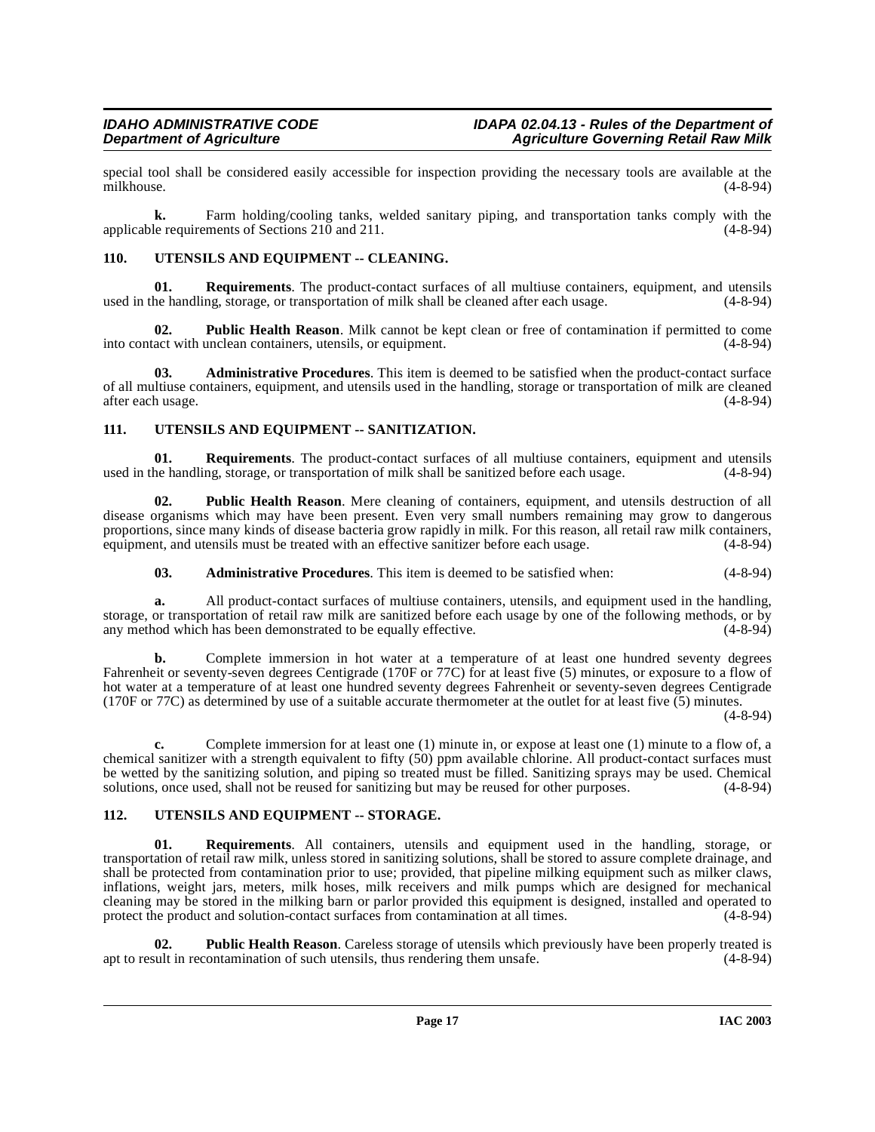special tool shall be considered easily accessible for inspection providing the necessary tools are available at the milkhouse. (4-8-94) milkhouse. (4-8-94)

**k.** Farm holding/cooling tanks, welded sanitary piping, and transportation tanks comply with the le requirements of Sections 210 and 211. (4-8-94) applicable requirements of Sections 210 and 211.

# <span id="page-16-5"></span><span id="page-16-0"></span>**110. UTENSILS AND EQUIPMENT -- CLEANING.**

**01. Requirements**. The product-contact surfaces of all multiuse containers, equipment, and utensils used in the handling, storage, or transportation of milk shall be cleaned after each usage. (4-8-94)

**02. Public Health Reason**. Milk cannot be kept clean or free of contamination if permitted to come act with unclean containers, utensils, or equipment. (4-8-94) into contact with unclean containers, utensils, or equipment.

**03. Administrative Procedures**. This item is deemed to be satisfied when the product-contact surface of all multiuse containers, equipment, and utensils used in the handling, storage or transportation of milk are cleaned after each usage.

#### <span id="page-16-3"></span><span id="page-16-1"></span>**111. UTENSILS AND EQUIPMENT -- SANITIZATION.**

**01. Requirements**. The product-contact surfaces of all multiuse containers, equipment and utensils he handling, storage, or transportation of milk shall be sanitized before each usage. (4-8-94) used in the handling, storage, or transportation of milk shall be sanitized before each usage.

**02. Public Health Reason**. Mere cleaning of containers, equipment, and utensils destruction of all disease organisms which may have been present. Even very small numbers remaining may grow to dangerous proportions, since many kinds of disease bacteria grow rapidly in milk. For this reason, all retail raw milk containers, equipment, and utensils must be treated with an effective sanitizer before each usage. (4-8-94) equipment, and utensils must be treated with an effective sanitizer before each usage.

**03. Administrative Procedures**. This item is deemed to be satisfied when: (4-8-94)

**a.** All product-contact surfaces of multiuse containers, utensils, and equipment used in the handling, storage, or transportation of retail raw milk are sanitized before each usage by one of the following methods, or by any method which has been demonstrated to be equally effective. (4-8-94) any method which has been demonstrated to be equally effective.

**b.** Complete immersion in hot water at a temperature of at least one hundred seventy degrees Fahrenheit or seventy-seven degrees Centigrade (170F or 77C) for at least five (5) minutes, or exposure to a flow of hot water at a temperature of at least one hundred seventy degrees Fahrenheit or seventy-seven degrees Centigrade (170F or 77C) as determined by use of a suitable accurate thermometer at the outlet for at least five (5) minutes.

(4-8-94)

**c.** Complete immersion for at least one (1) minute in, or expose at least one (1) minute to a flow of, a chemical sanitizer with a strength equivalent to fifty (50) ppm available chlorine. All product-contact surfaces must be wetted by the sanitizing solution, and piping so treated must be filled. Sanitizing sprays may be used. Chemical solutions, once used, shall not be reused for sanitizing but may be reused for other purposes. (4-8-94)

# <span id="page-16-4"></span><span id="page-16-2"></span>**112. UTENSILS AND EQUIPMENT -- STORAGE.**

**Requirements**. All containers, utensils and equipment used in the handling, storage, or transportation of retail raw milk, unless stored in sanitizing solutions, shall be stored to assure complete drainage, and shall be protected from contamination prior to use; provided, that pipeline milking equipment such as milker claws, inflations, weight jars, meters, milk hoses, milk receivers and milk pumps which are designed for mechanical cleaning may be stored in the milking barn or parlor provided this equipment is designed, installed and operated to protect the product and solution-contact surfaces from contamination at all times. (4-8-94)

**02. Public Health Reason**. Careless storage of utensils which previously have been properly treated is sult in recontamination of such utensils, thus rendering them unsafe.  $(4-8-94)$ apt to result in recontamination of such utensils, thus rendering them unsafe.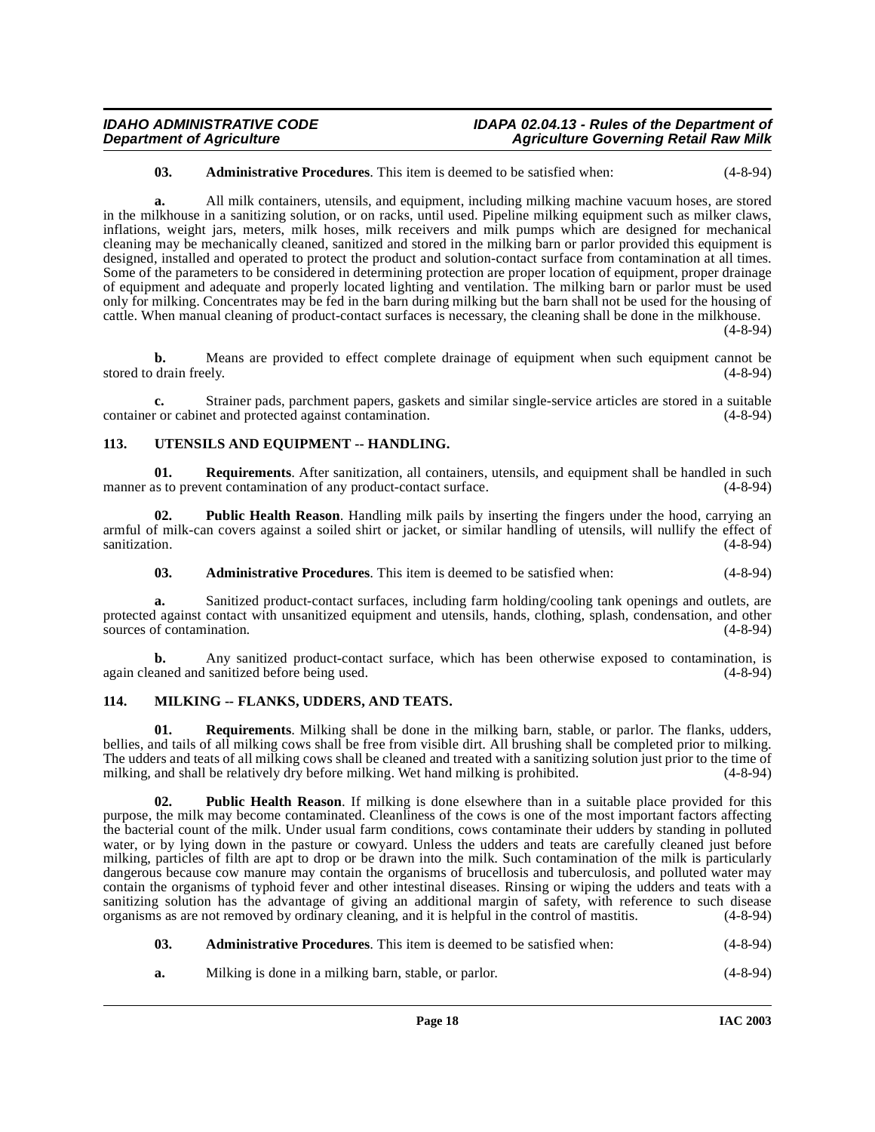#### **03. Administrative Procedures**. This item is deemed to be satisfied when: (4-8-94)

**a.** All milk containers, utensils, and equipment, including milking machine vacuum hoses, are stored in the milkhouse in a sanitizing solution, or on racks, until used. Pipeline milking equipment such as milker claws, inflations, weight jars, meters, milk hoses, milk receivers and milk pumps which are designed for mechanical cleaning may be mechanically cleaned, sanitized and stored in the milking barn or parlor provided this equipment is designed, installed and operated to protect the product and solution-contact surface from contamination at all times. Some of the parameters to be considered in determining protection are proper location of equipment, proper drainage of equipment and adequate and properly located lighting and ventilation. The milking barn or parlor must be used only for milking. Concentrates may be fed in the barn during milking but the barn shall not be used for the housing of cattle. When manual cleaning of product-contact surfaces is necessary, the cleaning shall be done in the milkhouse.

(4-8-94)

**b.** Means are provided to effect complete drainage of equipment when such equipment cannot be stored to drain freely. (4-8-94)

**c.** Strainer pads, parchment papers, gaskets and similar single-service articles are stored in a suitable r or cabinet and protected against contamination. (4-8-94) container or cabinet and protected against contamination.

# <span id="page-17-4"></span><span id="page-17-0"></span>**113. UTENSILS AND EQUIPMENT -- HANDLING.**

**01.** Requirements. After sanitization, all containers, utensils, and equipment shall be handled in such as to prevent contamination of any product-contact surface. (4-8-94) manner as to prevent contamination of any product-contact surface.

**02. Public Health Reason**. Handling milk pails by inserting the fingers under the hood, carrying an armful of milk-can covers against a soiled shirt or jacket, or similar handling of utensils, will nullify the effect of sanitization. (4-8-94)

<span id="page-17-2"></span>**03. Administrative Procedures**. This item is deemed to be satisfied when: (4-8-94)

**a.** Sanitized product-contact surfaces, including farm holding/cooling tank openings and outlets, are protected against contact with unsanitized equipment and utensils, hands, clothing, splash, condensation, and other sources of contamination. (4-8-94) sources of contamination.

**b.** Any sanitized product-contact surface, which has been otherwise exposed to contamination, is again cleaned and sanitized before being used. (4-8-94)

#### <span id="page-17-3"></span><span id="page-17-1"></span>**114. MILKING -- FLANKS, UDDERS, AND TEATS.**

**01. Requirements**. Milking shall be done in the milking barn, stable, or parlor. The flanks, udders, bellies, and tails of all milking cows shall be free from visible dirt. All brushing shall be completed prior to milking. The udders and teats of all milking cows shall be cleaned and treated with a sanitizing solution just prior to the time of milking, and shall be relatively dry before milking. Wet hand milking is prohibited. (4-8-94)

**02. Public Health Reason**. If milking is done elsewhere than in a suitable place provided for this purpose, the milk may become contaminated. Cleanliness of the cows is one of the most important factors affecting the bacterial count of the milk. Under usual farm conditions, cows contaminate their udders by standing in polluted water, or by lying down in the pasture or cowyard. Unless the udders and teats are carefully cleaned just before milking, particles of filth are apt to drop or be drawn into the milk. Such contamination of the milk is particularly dangerous because cow manure may contain the organisms of brucellosis and tuberculosis, and polluted water may contain the organisms of typhoid fever and other intestinal diseases. Rinsing or wiping the udders and teats with a sanitizing solution has the advantage of giving an additional margin of safety, with reference to such disease organisms as are not removed by ordinary cleaning, and it is helpful in the control of mastitis. (4-8-94)

| 03. |  | <b>Administrative Procedures.</b> This item is deemed to be satisfied when: | $(4 - 8 - 94)$ |
|-----|--|-----------------------------------------------------------------------------|----------------|
|-----|--|-----------------------------------------------------------------------------|----------------|

**a.** Milking is done in a milking barn, stable, or parlor. (4-8-94)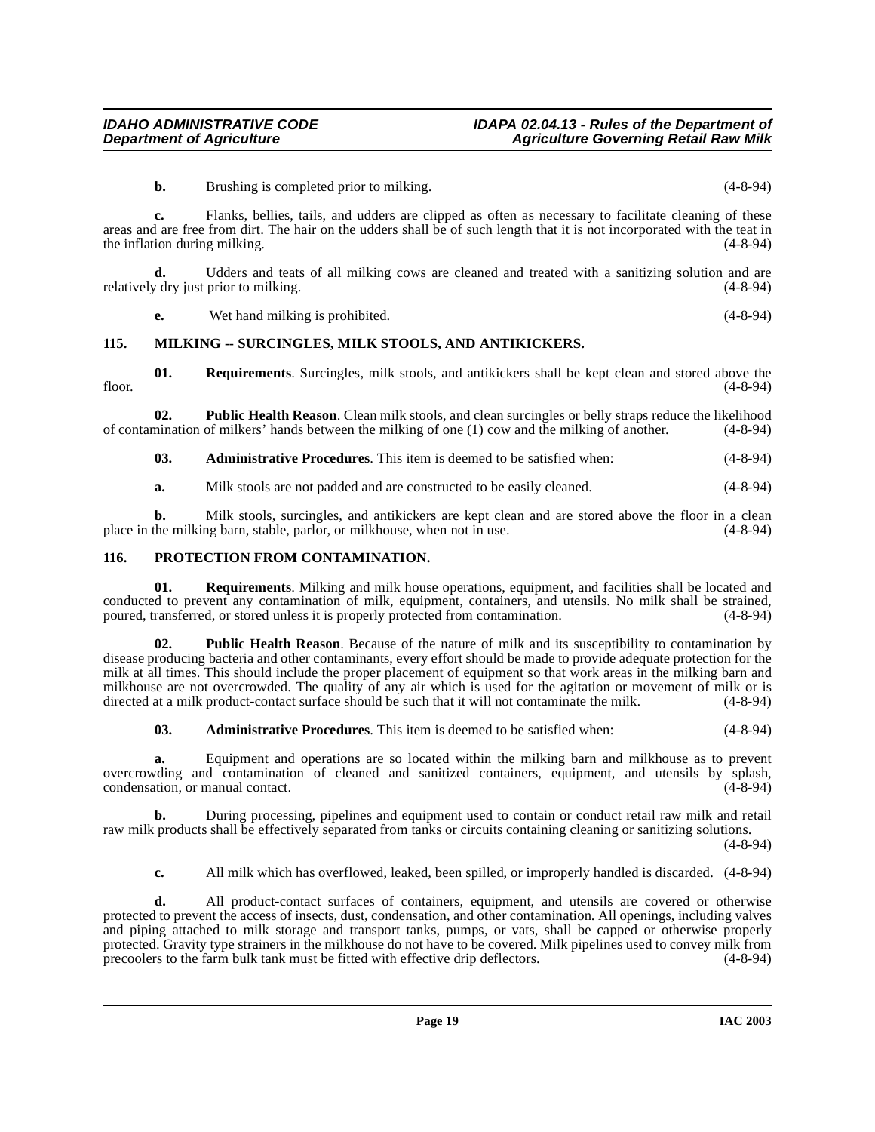**b.** Brushing is completed prior to milking. (4-8-94)

**c.** Flanks, bellies, tails, and udders are clipped as often as necessary to facilitate cleaning of these areas and are free from dirt. The hair on the udders shall be of such length that it is not incorporated with the teat in the inflation during milking. (4-8-94)

**d.** Udders and teats of all milking cows are cleaned and treated with a sanitizing solution and are relatively dry just prior to milking. (4-8-94)

<span id="page-18-2"></span>**e.** Wet hand milking is prohibited. (4-8-94)

#### <span id="page-18-0"></span>**115. MILKING -- SURCINGLES, MILK STOOLS, AND ANTIKICKERS.**

**01. Requirements**. Surcingles, milk stools, and antikickers shall be kept clean and stored above the floor.  $(4-8-94)$ 

**02. Public Health Reason**. Clean milk stools, and clean surcingles or belly straps reduce the likelihood of contamination of milkers' hands between the milking of one (1) cow and the milking of another. (4-8-94)

**03. Administrative Procedures**. This item is deemed to be satisfied when: (4-8-94)

**a.** Milk stools are not padded and are constructed to be easily cleaned. (4-8-94)

**b.** Milk stools, surcingles, and antikickers are kept clean and are stored above the floor in a clean the milking barn, stable, parlor, or milkhouse, when not in use. (4-8-94) place in the milking barn, stable, parlor, or milkhouse, when not in use.

#### <span id="page-18-3"></span><span id="page-18-1"></span>**116. PROTECTION FROM CONTAMINATION.**

**01. Requirements**. Milking and milk house operations, equipment, and facilities shall be located and conducted to prevent any contamination of milk, equipment, containers, and utensils. No milk shall be strained, poured, transferred, or stored unless it is properly protected from contamination. (4-8-94) poured, transferred, or stored unless it is properly protected from contamination.

**02. Public Health Reason**. Because of the nature of milk and its susceptibility to contamination by disease producing bacteria and other contaminants, every effort should be made to provide adequate protection for the milk at all times. This should include the proper placement of equipment so that work areas in the milking barn and milkhouse are not overcrowded. The quality of any air which is used for the agitation or movement of milk or is directed at a milk product-contact surface should be such that it will not contaminate the milk. (4-8-94) directed at a milk product-contact surface should be such that it will not contaminate the milk.

**03. Administrative Procedures**. This item is deemed to be satisfied when: (4-8-94)

**a.** Equipment and operations are so located within the milking barn and milkhouse as to prevent overcrowding and contamination of cleaned and sanitized containers, equipment, and utensils by splash, condensation, or manual contact. (4-8-94) condensation, or manual contact.

**b.** During processing, pipelines and equipment used to contain or conduct retail raw milk and retail raw milk products shall be effectively separated from tanks or circuits containing cleaning or sanitizing solutions.

(4-8-94)

**c.** All milk which has overflowed, leaked, been spilled, or improperly handled is discarded. (4-8-94)

**d.** All product-contact surfaces of containers, equipment, and utensils are covered or otherwise protected to prevent the access of insects, dust, condensation, and other contamination. All openings, including valves and piping attached to milk storage and transport tanks, pumps, or vats, shall be capped or otherwise properly protected. Gravity type strainers in the milkhouse do not have to be covered. Milk pipelines used to convey milk from precoolers to the farm bulk tank must be fitted with effective drip deflectors. (4-8-94) precoolers to the farm bulk tank must be fitted with effective drip deflectors.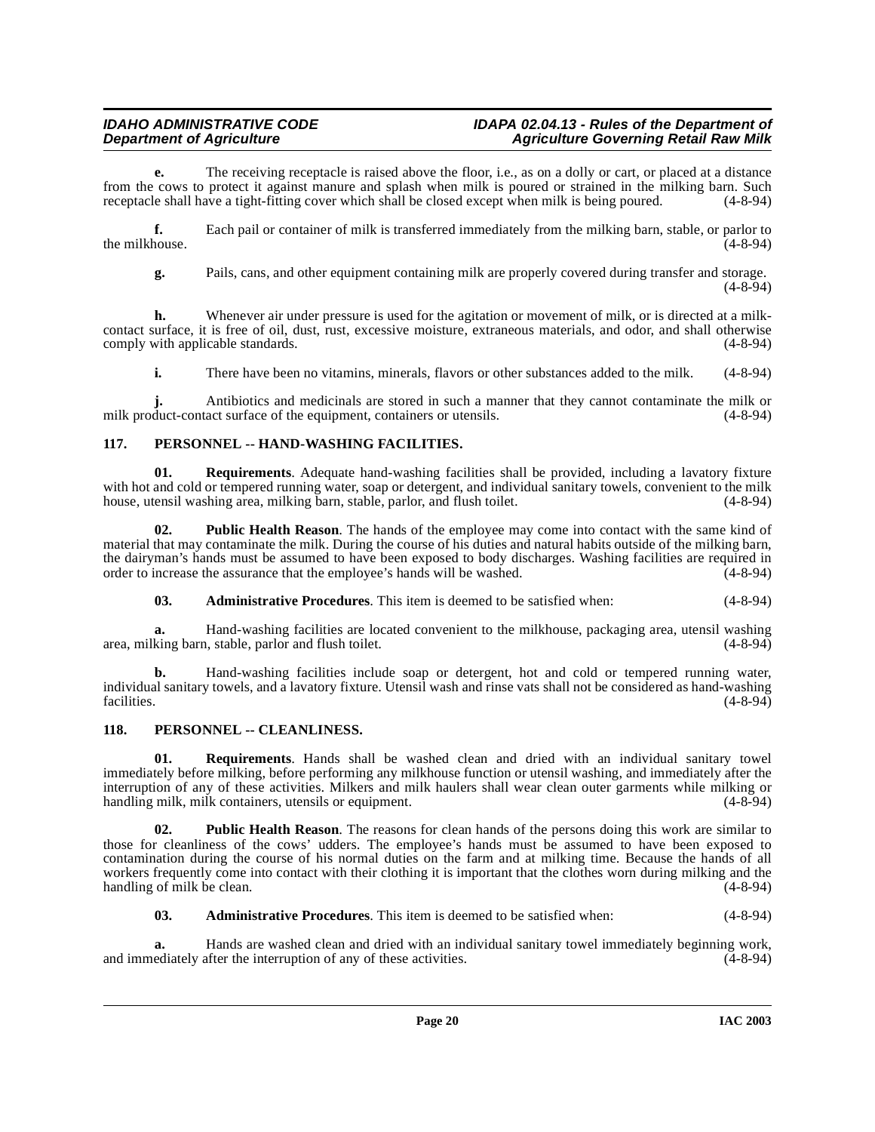**e.** The receiving receptacle is raised above the floor, i.e., as on a dolly or cart, or placed at a distance from the cows to protect it against manure and splash when milk is poured or strained in the milking barn. Such receptacle shall have a tight-fitting cover which shall be closed except when milk is being poured. (4-8-94) receptacle shall have a tight-fitting cover which shall be closed except when milk is being poured.

**f.** Each pail or container of milk is transferred immediately from the milking barn, stable, or parlor to the milkhouse. (4-8-94)

**g.** Pails, cans, and other equipment containing milk are properly covered during transfer and storage.  $(4 - 8 - 94)$ 

**h.** Whenever air under pressure is used for the agitation or movement of milk, or is directed at a milkcontact surface, it is free of oil, dust, rust, excessive moisture, extraneous materials, and odor, and shall otherwise comply with applicable standards.

**i.** There have been no vitamins, minerals, flavors or other substances added to the milk. (4-8-94)

**j.** Antibiotics and medicinals are stored in such a manner that they cannot contaminate the milk or duct-contact surface of the equipment, containers or utensils. (4-8-94) milk product-contact surface of the equipment, containers or utensils.

# <span id="page-19-3"></span><span id="page-19-0"></span>**117. PERSONNEL -- HAND-WASHING FACILITIES.**

**01. Requirements**. Adequate hand-washing facilities shall be provided, including a lavatory fixture with hot and cold or tempered running water, soap or detergent, and individual sanitary towels, convenient to the milk<br>house, utensil washing area, milking barn, stable, parlor, and flush toilet. (4-8-94) house, utensil washing area, milking barn, stable, parlor, and flush toilet.

**02. Public Health Reason**. The hands of the employee may come into contact with the same kind of material that may contaminate the milk. During the course of his duties and natural habits outside of the milking barn, the dairyman's hands must be assumed to have been exposed to body discharges. Washing facilities are required in order to increase the assurance that the employee's hands will be washed. (4-8-94) order to increase the assurance that the employee's hands will be washed.

**03. Administrative Procedures**. This item is deemed to be satisfied when: (4-8-94)

**a.** Hand-washing facilities are located convenient to the milkhouse, packaging area, utensil washing king barn, stable, parlor and flush toilet. (4-8-94) area, milking barn, stable, parlor and flush toilet.

**b.** Hand-washing facilities include soap or detergent, hot and cold or tempered running water, individual sanitary towels, and a lavatory fixture. Utensil wash and rinse vats shall not be considered as hand-washing facilities. (4-8-94)

# <span id="page-19-2"></span><span id="page-19-1"></span>**118. PERSONNEL -- CLEANLINESS.**

**01. Requirements**. Hands shall be washed clean and dried with an individual sanitary towel immediately before milking, before performing any milkhouse function or utensil washing, and immediately after the interruption of any of these activities. Milkers and milk haulers shall wear clean outer garments while milking or handling milk. milk containers, utensils or equipment. handling milk, milk containers, utensils or equipment.

**Public Health Reason.** The reasons for clean hands of the persons doing this work are similar to those for cleanliness of the cows' udders. The employee's hands must be assumed to have been exposed to contamination during the course of his normal duties on the farm and at milking time. Because the hands of all workers frequently come into contact with their clothing it is important that the clothes worn during milking and the handling of milk be clean. handling of milk be clean.

**03. Administrative Procedures**. This item is deemed to be satisfied when: (4-8-94)

**a.** Hands are washed clean and dried with an individual sanitary towel immediately beginning work, ediately after the interruption of any of these activities. (4-8-94) and immediately after the interruption of any of these activities.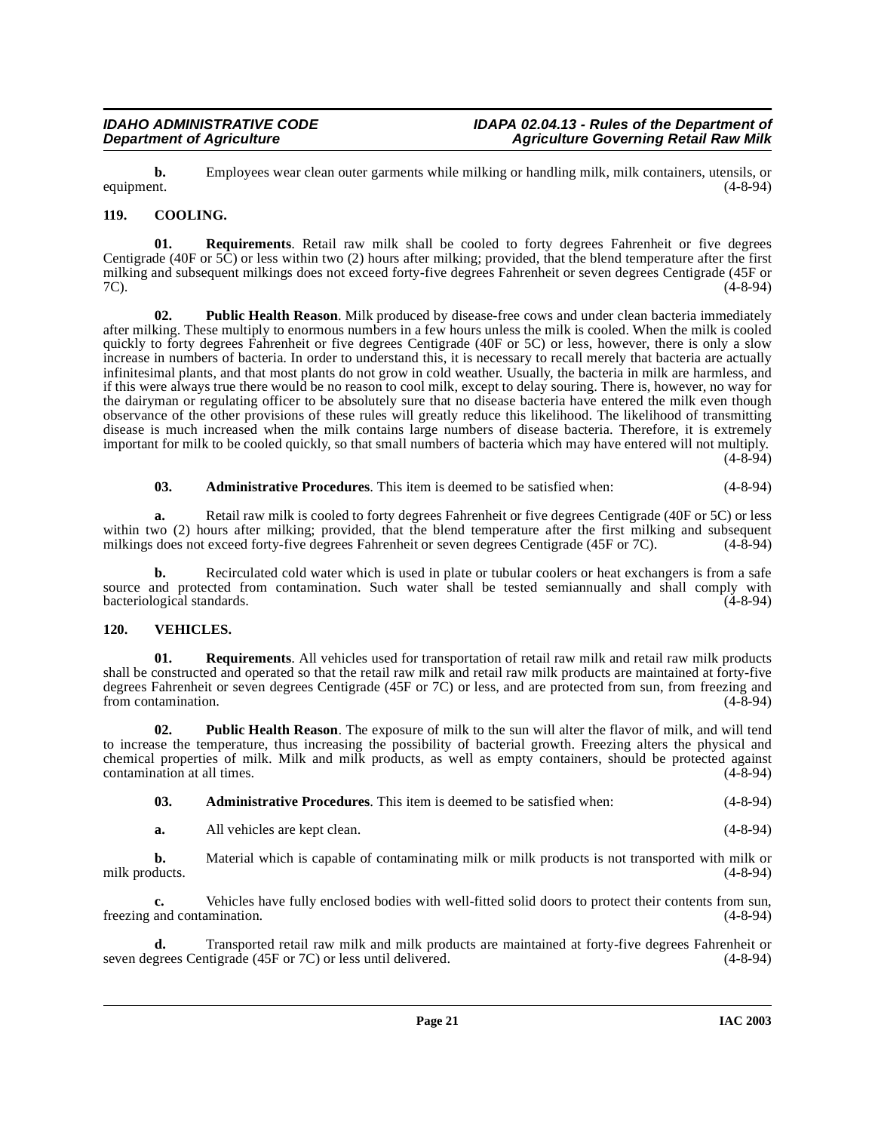**b.** Employees wear clean outer garments while milking or handling milk, milk containers, utensils, or equipment.  $(4-8-94)$ equipment. (4-8-94)

# <span id="page-20-2"></span><span id="page-20-0"></span>**119. COOLING.**

**01. Requirements**. Retail raw milk shall be cooled to forty degrees Fahrenheit or five degrees Centigrade (40F or  $5\hat{C}$ ) or less within two (2) hours after milking; provided, that the blend temperature after the first milking and subsequent milkings does not exceed forty-five degrees Fahrenheit or seven degrees Centigrade (45F or 7C). (4-8-94)

<span id="page-20-3"></span>**02. Public Health Reason**. Milk produced by disease-free cows and under clean bacteria immediately after milking. These multiply to enormous numbers in a few hours unless the milk is cooled. When the milk is cooled quickly to forty degrees Fahrenheit or five degrees Centigrade (40F or 5C) or less, however, there is only a slow increase in numbers of bacteria. In order to understand this, it is necessary to recall merely that bacteria are actually infinitesimal plants, and that most plants do not grow in cold weather. Usually, the bacteria in milk are harmless, and if this were always true there would be no reason to cool milk, except to delay souring. There is, however, no way for the dairyman or regulating officer to be absolutely sure that no disease bacteria have entered the milk even though observance of the other provisions of these rules will greatly reduce this likelihood. The likelihood of transmitting disease is much increased when the milk contains large numbers of disease bacteria. Therefore, it is extremely important for milk to be cooled quickly, so that small numbers of bacteria which may have entered will not multiply.  $(4 - 8 - 94)$ 

**03. Administrative Procedures**. This item is deemed to be satisfied when: (4-8-94)

**a.** Retail raw milk is cooled to forty degrees Fahrenheit or five degrees Centigrade (40F or 5C) or less within two (2) hours after milking; provided, that the blend temperature after the first milking and subsequent milkings does not exceed forty-five degrees Fahrenheit or seven degrees Centigrade (45F or 7C). (4-8-94) milkings does not exceed forty-five degrees Fahrenheit or seven degrees Centigrade (45F or 7C).

**b.** Recirculated cold water which is used in plate or tubular coolers or heat exchangers is from a safe source and protected from contamination. Such water shall be tested semiannually and shall comply with bacteriological standards. (4-8-94)

# <span id="page-20-4"></span><span id="page-20-1"></span>**120. VEHICLES.**

**01. Requirements**. All vehicles used for transportation of retail raw milk and retail raw milk products shall be constructed and operated so that the retail raw milk and retail raw milk products are maintained at forty-five degrees Fahrenheit or seven degrees Centigrade (45F or 7C) or less, and are protected from sun, from freezing and from contamination. (4-8-94) from contamination.

**02. Public Health Reason**. The exposure of milk to the sun will alter the flavor of milk, and will tend to increase the temperature, thus increasing the possibility of bacterial growth. Freezing alters the physical and chemical properties of milk. Milk and milk products, as well as empty containers, should be protected against contamination at all times. (4-8-94)

**a.** All vehicles are kept clean. (4-8-94)

**b.** Material which is capable of contaminating milk or milk products is not transported with milk or ducts.  $(4-8-94)$ milk products.

**c.** Vehicles have fully enclosed bodies with well-fitted solid doors to protect their contents from sun, freezing and contamination. (4-8-94)

**d.** Transported retail raw milk and milk products are maintained at forty-five degrees Fahrenheit or grees Centigrade (45F or 7C) or less until delivered. (4-8-94) seven degrees Centigrade (45F or  $7C$ ) or less until delivered.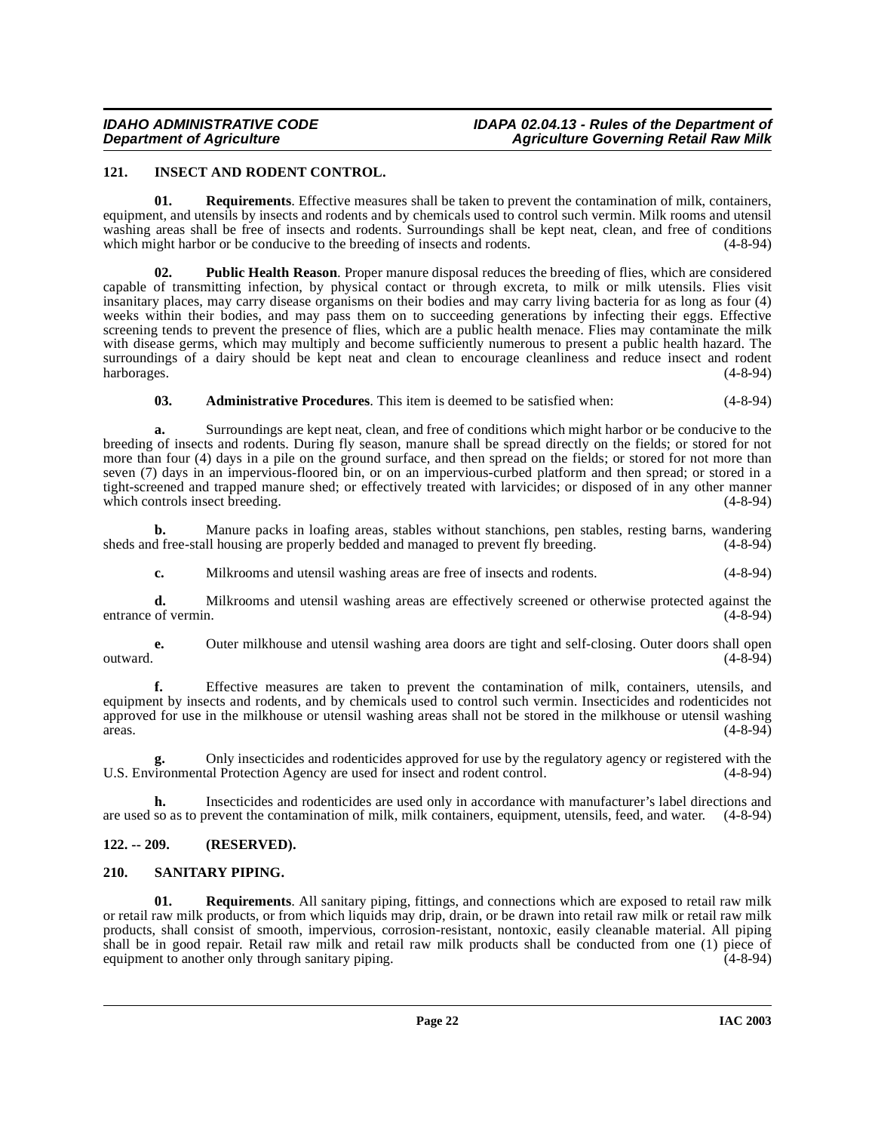# <span id="page-21-3"></span><span id="page-21-0"></span>**121. INSECT AND RODENT CONTROL.**

**01. Requirements**. Effective measures shall be taken to prevent the contamination of milk, containers, equipment, and utensils by insects and rodents and by chemicals used to control such vermin. Milk rooms and utensil washing areas shall be free of insects and rodents. Surroundings shall be kept neat, clean, and free of conditions which might harbor or be conducive to the breeding of insects and rodents. (4-8-94)

**02. Public Health Reason**. Proper manure disposal reduces the breeding of flies, which are considered capable of transmitting infection, by physical contact or through excreta, to milk or milk utensils. Flies visit insanitary places, may carry disease organisms on their bodies and may carry living bacteria for as long as four (4) weeks within their bodies, and may pass them on to succeeding generations by infecting their eggs. Effective screening tends to prevent the presence of flies, which are a public health menace. Flies may contaminate the milk with disease germs, which may multiply and become sufficiently numerous to present a public health hazard. The surroundings of a dairy should be kept neat and clean to encourage cleanliness and reduce insect and rodent harborages. (4-8-94)

**03. Administrative Procedures**. This item is deemed to be satisfied when: (4-8-94)

**a.** Surroundings are kept neat, clean, and free of conditions which might harbor or be conducive to the breeding of insects and rodents. During fly season, manure shall be spread directly on the fields; or stored for not more than four (4) days in a pile on the ground surface, and then spread on the fields; or stored for not more than seven (7) days in an impervious-floored bin, or on an impervious-curbed platform and then spread; or stored in a tight-screened and trapped manure shed; or effectively treated with larvicides; or disposed of in any other manner which controls insect breeding. (4-8-94)

**b.** Manure packs in loafing areas, stables without stanchions, pen stables, resting barns, wandering d free-stall housing are properly bedded and managed to prevent fly breeding. (4-8-94) sheds and free-stall housing are properly bedded and managed to prevent fly breeding.

**c.** Milkrooms and utensil washing areas are free of insects and rodents. (4-8-94)

**d.** Milkrooms and utensil washing areas are effectively screened or otherwise protected against the of vermin. (4-8-94) entrance of vermin.

**e.** Outer milkhouse and utensil washing area doors are tight and self-closing. Outer doors shall open (4-8-94) outward. (4-8-94)

**f.** Effective measures are taken to prevent the contamination of milk, containers, utensils, and equipment by insects and rodents, and by chemicals used to control such vermin. Insecticides and rodenticides not approved for use in the milkhouse or utensil washing areas shall not be stored in the milkhouse or utensil washing areas. (4-8-94)  $(4-8-94)$ 

**g.** Only insecticides and rodenticides approved for use by the regulatory agency or registered with the U.S. Environmental Protection Agency are used for insect and rodent control. (4-8-94)

**h.** Insecticides and rodenticides are used only in accordance with manufacturer's label directions and are used so as to prevent the contamination of milk, milk containers, equipment, utensils, feed, and water. (4-8-94)

# <span id="page-21-1"></span>**122. -- 209. (RESERVED).**

# <span id="page-21-4"></span><span id="page-21-2"></span>**210. SANITARY PIPING.**

**01. Requirements**. All sanitary piping, fittings, and connections which are exposed to retail raw milk or retail raw milk products, or from which liquids may drip, drain, or be drawn into retail raw milk or retail raw milk products, shall consist of smooth, impervious, corrosion-resistant, nontoxic, easily cleanable material. All piping shall be in good repair. Retail raw milk and retail raw milk products shall be conducted from one (1) piece of equipment to another only through sanitary piping.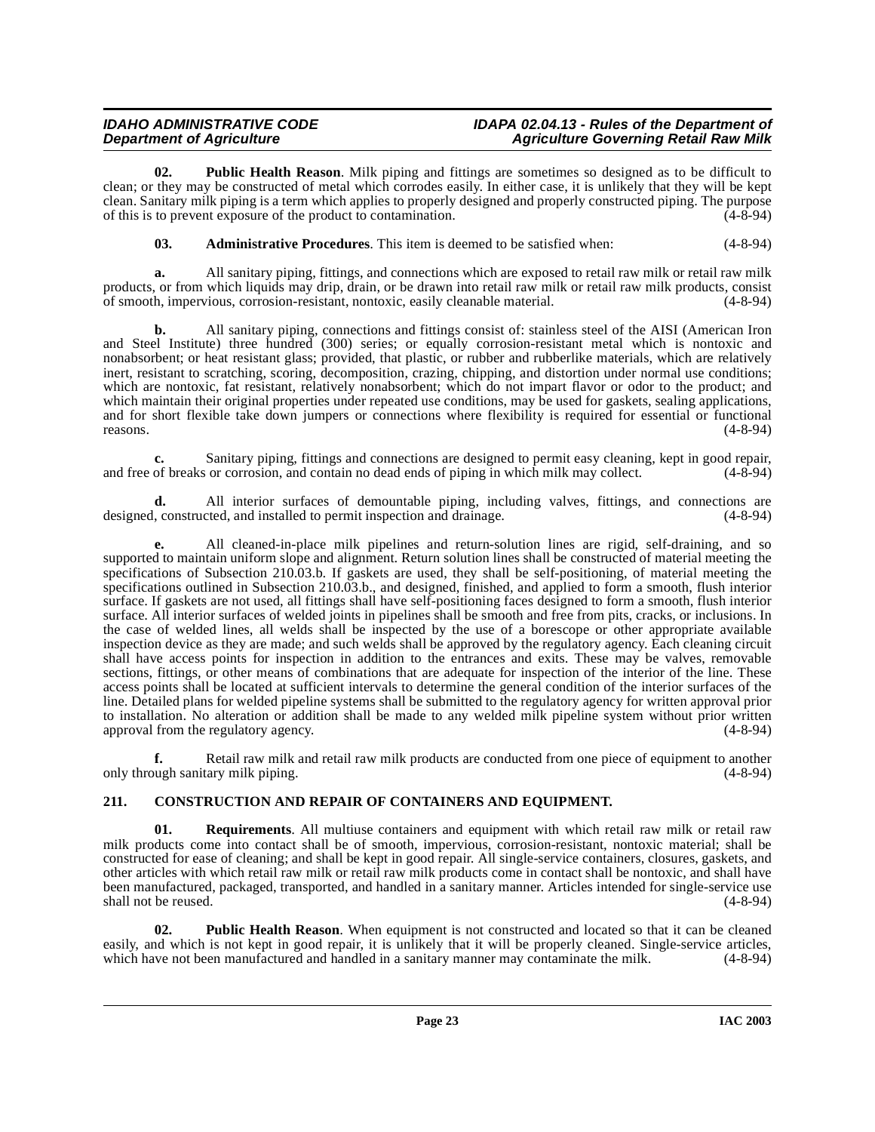**02. Public Health Reason**. Milk piping and fittings are sometimes so designed as to be difficult to clean; or they may be constructed of metal which corrodes easily. In either case, it is unlikely that they will be kept clean. Sanitary milk piping is a term which applies to properly designed and properly constructed piping. The purpose of this is to prevent exposure of the product to contamination. (4-8-94)

**03. Administrative Procedures**. This item is deemed to be satisfied when: (4-8-94)

**a.** All sanitary piping, fittings, and connections which are exposed to retail raw milk or retail raw milk products, or from which liquids may drip, drain, or be drawn into retail raw milk or retail raw milk products, consist of smooth, impervious, corrosion-resistant, nontoxic, easily cleanable material. (4-8-94)

**b.** All sanitary piping, connections and fittings consist of: stainless steel of the AISI (American Iron and Steel Institute) three hundred (300) series; or equally corrosion-resistant metal which is nontoxic and nonabsorbent; or heat resistant glass; provided, that plastic, or rubber and rubberlike materials, which are relatively inert, resistant to scratching, scoring, decomposition, crazing, chipping, and distortion under normal use conditions; which are nontoxic, fat resistant, relatively nonabsorbent; which do not impart flavor or odor to the product; and which maintain their original properties under repeated use conditions, may be used for gaskets, sealing applications, and for short flexible take down jumpers or connections where flexibility is required for essential or functional reasons.  $(4-8-94)$ 

**c.** Sanitary piping, fittings and connections are designed to permit easy cleaning, kept in good repair, of breaks or corrosion, and contain no dead ends of piping in which milk may collect. (4-8-94) and free of breaks or corrosion, and contain no dead ends of piping in which milk may collect.

**d.** All interior surfaces of demountable piping, including valves, fittings, and connections are designed, constructed, and installed to permit inspection and drainage. (4-8-94)

**e.** All cleaned-in-place milk pipelines and return-solution lines are rigid, self-draining, and so supported to maintain uniform slope and alignment. Return solution lines shall be constructed of material meeting the specifications of Subsection 210.03.b. If gaskets are used, they shall be self-positioning, of material meeting the specifications outlined in Subsection 210.03.b., and designed, finished, and applied to form a smooth, flush interior surface. If gaskets are not used, all fittings shall have self-positioning faces designed to form a smooth, flush interior surface. All interior surfaces of welded joints in pipelines shall be smooth and free from pits, cracks, or inclusions. In the case of welded lines, all welds shall be inspected by the use of a borescope or other appropriate available inspection device as they are made; and such welds shall be approved by the regulatory agency. Each cleaning circuit shall have access points for inspection in addition to the entrances and exits. These may be valves, removable sections, fittings, or other means of combinations that are adequate for inspection of the interior of the line. These access points shall be located at sufficient intervals to determine the general condition of the interior surfaces of the line. Detailed plans for welded pipeline systems shall be submitted to the regulatory agency for written approval prior to installation. No alteration or addition shall be made to any welded milk pipeline system without prior written approval from the regulatory agency. (4-8-94) approval from the regulatory agency.

**f.** Retail raw milk and retail raw milk products are conducted from one piece of equipment to another only through sanitary milk piping. (4-8-94)

# <span id="page-22-1"></span><span id="page-22-0"></span>**211. CONSTRUCTION AND REPAIR OF CONTAINERS AND EQUIPMENT.**

**01. Requirements**. All multiuse containers and equipment with which retail raw milk or retail raw milk products come into contact shall be of smooth, impervious, corrosion-resistant, nontoxic material; shall be constructed for ease of cleaning; and shall be kept in good repair. All single-service containers, closures, gaskets, and other articles with which retail raw milk or retail raw milk products come in contact shall be nontoxic, and shall have been manufactured, packaged, transported, and handled in a sanitary manner. Articles intended for single-service use shall not be reused. (4-8-94)

**02. Public Health Reason**. When equipment is not constructed and located so that it can be cleaned easily, and which is not kept in good repair, it is unlikely that it will be properly cleaned. Single-service articles, which have not been manufactured and handled in a sanitary manner may contaminate the milk. (4-8-94) which have not been manufactured and handled in a sanitary manner may contaminate the milk.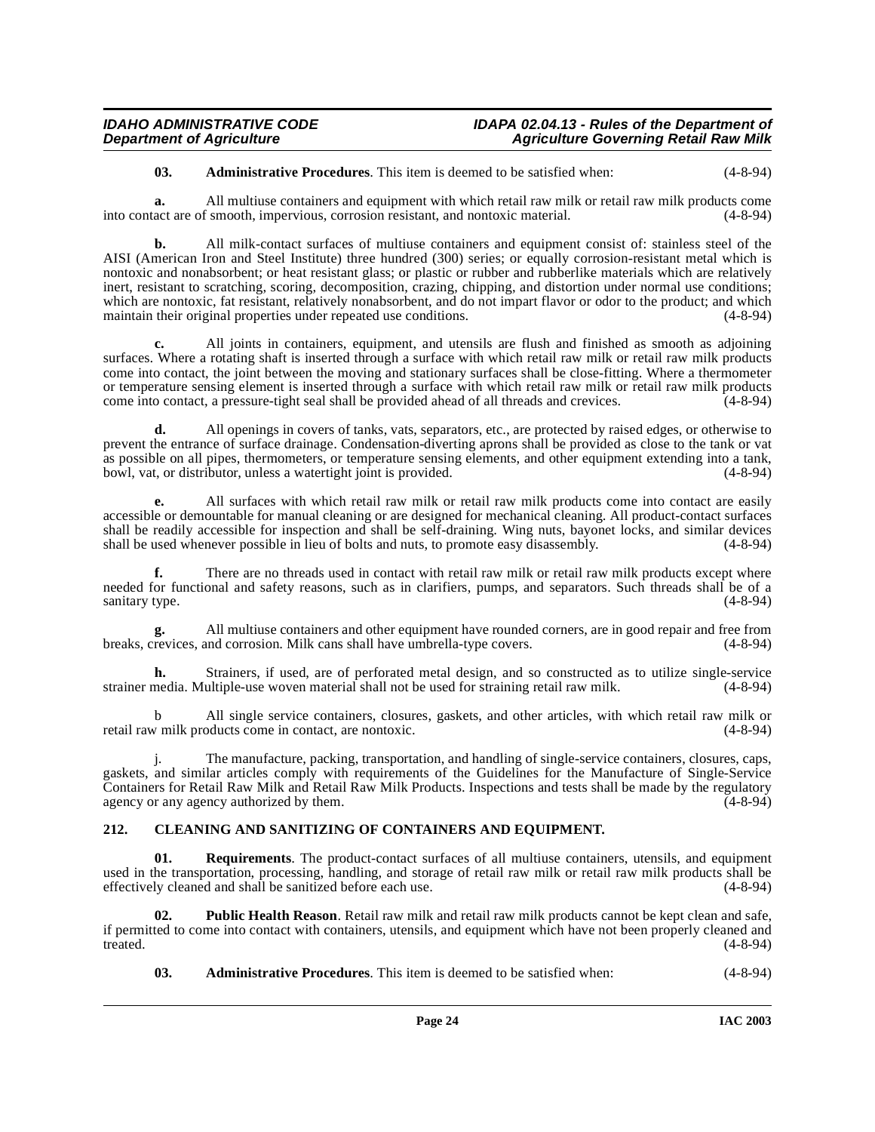# **03. Administrative Procedures**. This item is deemed to be satisfied when: (4-8-94)

**a.** All multiuse containers and equipment with which retail raw milk or retail raw milk products come into contact are of smooth, impervious, corrosion resistant, and nontoxic material. (4-8-94)

**b.** All milk-contact surfaces of multiuse containers and equipment consist of: stainless steel of the AISI (American Iron and Steel Institute) three hundred (300) series; or equally corrosion-resistant metal which is nontoxic and nonabsorbent; or heat resistant glass; or plastic or rubber and rubberlike materials which are relatively inert, resistant to scratching, scoring, decomposition, crazing, chipping, and distortion under normal use conditions; which are nontoxic, fat resistant, relatively nonabsorbent, and do not impart flavor or odor to the product; and which maintain their original properties under repeated use conditions. (4-8-94)

**c.** All joints in containers, equipment, and utensils are flush and finished as smooth as adjoining surfaces. Where a rotating shaft is inserted through a surface with which retail raw milk or retail raw milk products come into contact, the joint between the moving and stationary surfaces shall be close-fitting. Where a thermometer or temperature sensing element is inserted through a surface with which retail raw milk or retail raw milk products come into contact, a pressure-tight seal shall be provided ahead of all threads and crevices. (4-8-94) come into contact, a pressure-tight seal shall be provided ahead of all threads and crevices.

**d.** All openings in covers of tanks, vats, separators, etc., are protected by raised edges, or otherwise to prevent the entrance of surface drainage. Condensation-diverting aprons shall be provided as close to the tank or vat as possible on all pipes, thermometers, or temperature sensing elements, and other equipment extending into a tank, bowl, vat. or distributor, unless a watertight ioint is provided. (4-8-94) bowl, vat, or distributor, unless a watertight joint is provided.

**e.** All surfaces with which retail raw milk or retail raw milk products come into contact are easily accessible or demountable for manual cleaning or are designed for mechanical cleaning. All product-contact surfaces shall be readily accessible for inspection and shall be self-draining. Wing nuts, bayonet locks, and similar devices shall be used whenever possible in lieu of bolts and nuts, to promote easy disassembly. (4-8-94) shall be used whenever possible in lieu of bolts and nuts, to promote easy disassembly.

**f.** There are no threads used in contact with retail raw milk or retail raw milk products except where needed for functional and safety reasons, such as in clarifiers, pumps, and separators. Such threads shall be of a sanitary type. (4-8-94) sanitary type.

**g.** All multiuse containers and other equipment have rounded corners, are in good repair and free from breaks, crevices, and corrosion. Milk cans shall have umbrella-type covers. (4-8-94)

**h.** Strainers, if used, are of perforated metal design, and so constructed as to utilize single-service media. Multiple-use woven material shall not be used for straining retail raw milk. (4-8-94) strainer media. Multiple-use woven material shall not be used for straining retail raw milk.

b All single service containers, closures, gaskets, and other articles, with which retail raw milk or w milk or (4-8-94) retail raw milk products come in contact, are nontoxic.

j. The manufacture, packing, transportation, and handling of single-service containers, closures, caps, gaskets, and similar articles comply with requirements of the Guidelines for the Manufacture of Single-Service Containers for Retail Raw Milk and Retail Raw Milk Products. Inspections and tests shall be made by the regulatory agency or any agency authorized by them.

# <span id="page-23-1"></span><span id="page-23-0"></span>**212. CLEANING AND SANITIZING OF CONTAINERS AND EQUIPMENT.**

**01. Requirements**. The product-contact surfaces of all multiuse containers, utensils, and equipment used in the transportation, processing, handling, and storage of retail raw milk or retail raw milk products shall be effectively cleaned and shall be sanitized before each use. effectively cleaned and shall be sanitized before each use.

**02. Public Health Reason**. Retail raw milk and retail raw milk products cannot be kept clean and safe, if permitted to come into contact with containers, utensils, and equipment which have not been properly cleaned and treated. (4-8-94) treated.  $(4-8-94)$ 

**03. Administrative Procedures**. This item is deemed to be satisfied when: (4-8-94)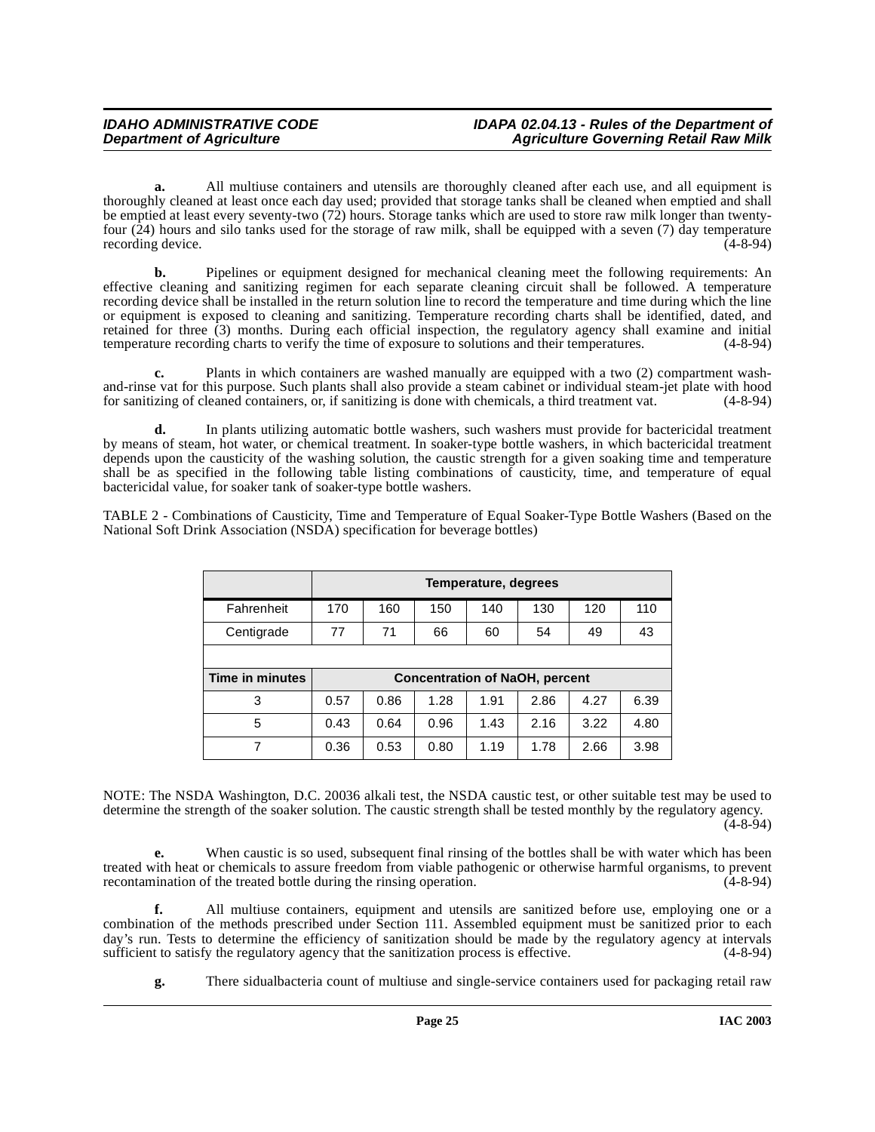**a.** All multiuse containers and utensils are thoroughly cleaned after each use, and all equipment is thoroughly cleaned at least once each day used; provided that storage tanks shall be cleaned when emptied and shall be emptied at least every seventy-two (72) hours. Storage tanks which are used to store raw milk longer than twentyfour (24) hours and silo tanks used for the storage of raw milk, shall be equipped with a seven (7) day temperature recording device.

**b.** Pipelines or equipment designed for mechanical cleaning meet the following requirements: An effective cleaning and sanitizing regimen for each separate cleaning circuit shall be followed. A temperature recording device shall be installed in the return solution line to record the temperature and time during which the line or equipment is exposed to cleaning and sanitizing. Temperature recording charts shall be identified, dated, and retained for three (3) months. During each official inspection, the regulatory agency shall examine and initial temperature recording charts to verify the time of exposure to solutions and their temperatures. (4-8-94)

**c.** Plants in which containers are washed manually are equipped with a two (2) compartment washand-rinse vat for this purpose. Such plants shall also provide a steam cabinet or individual steam-jet plate with hood<br>for sanitizing of cleaned containers, or, if sanitizing is done with chemicals, a third treatment vat. for sanitizing of cleaned containers, or, if sanitizing is done with chemicals, a third treatment vat.

**d.** In plants utilizing automatic bottle washers, such washers must provide for bactericidal treatment by means of steam, hot water, or chemical treatment. In soaker-type bottle washers, in which bactericidal treatment depends upon the causticity of the washing solution, the caustic strength for a given soaking time and temperature shall be as specified in the following table listing combinations of causticity, time, and temperature of equal bactericidal value, for soaker tank of soaker-type bottle washers.

TABLE 2 - Combinations of Causticity, Time and Temperature of Equal Soaker-Type Bottle Washers (Based on the National Soft Drink Association (NSDA) specification for beverage bottles)

|                 | Temperature, degrees                  |      |      |      |      |      |      |
|-----------------|---------------------------------------|------|------|------|------|------|------|
| Fahrenheit      | 170                                   | 160  | 150  | 140  | 130  | 120  | 110  |
| Centigrade      | 77                                    | 71   | 66   | 60   | 54   | 49   | 43   |
|                 |                                       |      |      |      |      |      |      |
| Time in minutes | <b>Concentration of NaOH, percent</b> |      |      |      |      |      |      |
| 3               | 0.57                                  | 0.86 | 1.28 | 1.91 | 2.86 | 4.27 | 6.39 |
| 5               | 0.43                                  | 0.64 | 0.96 | 1.43 | 2.16 | 3.22 | 4.80 |
| 7               | 0.36                                  | 0.53 | 0.80 | 1.19 | 1.78 | 2.66 | 3.98 |

NOTE: The NSDA Washington, D.C. 20036 alkali test, the NSDA caustic test, or other suitable test may be used to determine the strength of the soaker solution. The caustic strength shall be tested monthly by the regulatory agency.  $(4 - 8 - 94)$ 

**e.** When caustic is so used, subsequent final rinsing of the bottles shall be with water which has been treated with heat or chemicals to assure freedom from viable pathogenic or otherwise harmful organisms, to prevent recontamination of the treated bottle during the rinsing operation. (4-8-94) recontamination of the treated bottle during the rinsing operation.

**f.** All multiuse containers, equipment and utensils are sanitized before use, employing one or a combination of the methods prescribed under Section 111. Assembled equipment must be sanitized prior to each day's run. Tests to determine the efficiency of sanitization should be made by the regulatory agency at intervals sufficient to satisfy the regulatory agency that the sanitization process is effective. (4-8-94)

**g.** There sidualbacteria count of multiuse and single-service containers used for packaging retail raw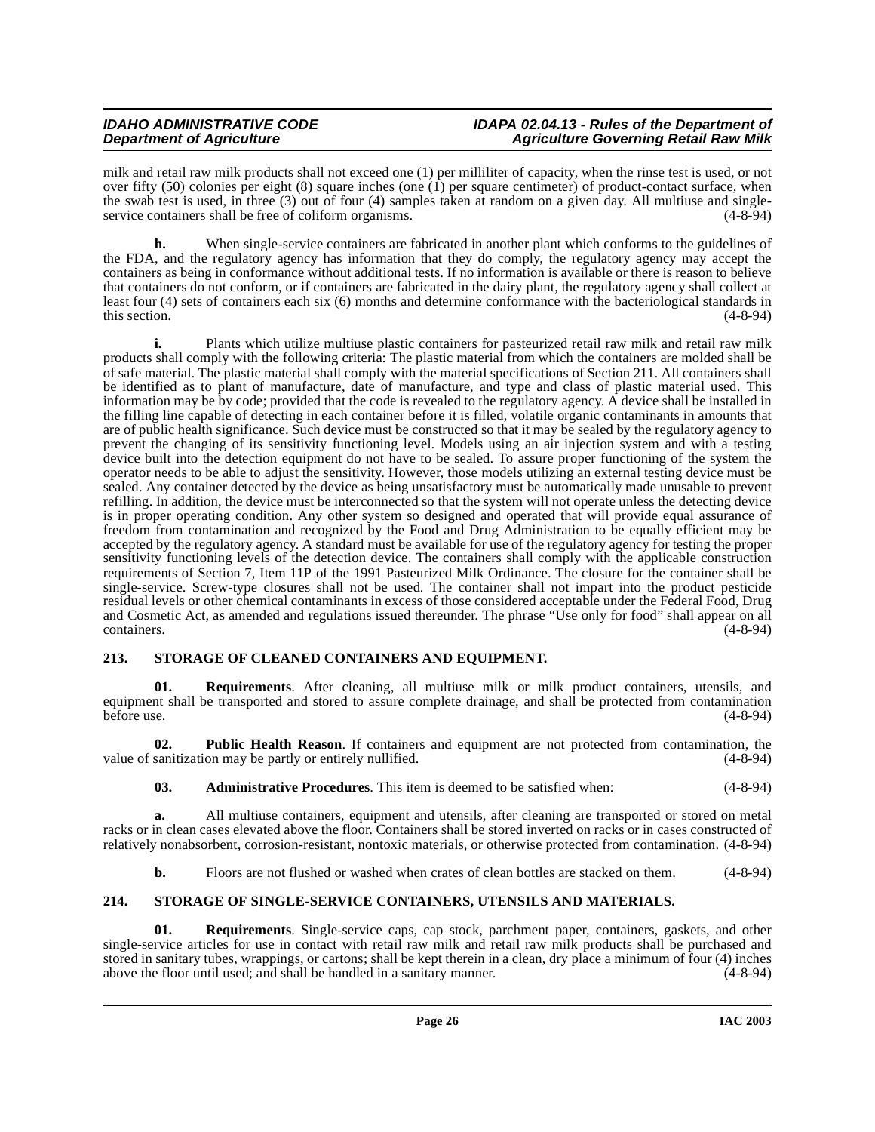milk and retail raw milk products shall not exceed one (1) per milliliter of capacity, when the rinse test is used, or not over fifty (50) colonies per eight (8) square inches (one (1) per square centimeter) of product-contact surface, when the swab test is used, in three (3) out of four (4) samples taken at random on a given day. All multiuse and singleservice containers shall be free of coliform organisms. (4-8-94)

**h.** When single-service containers are fabricated in another plant which conforms to the guidelines of the FDA, and the regulatory agency has information that they do comply, the regulatory agency may accept the containers as being in conformance without additional tests. If no information is available or there is reason to believe that containers do not conform, or if containers are fabricated in the dairy plant, the regulatory agency shall collect at least four (4) sets of containers each six (6) months and determine conformance with the bacteriological standards in this section.  $(4-8-94)$ 

**i.** Plants which utilize multiuse plastic containers for pasteurized retail raw milk and retail raw milk products shall comply with the following criteria: The plastic material from which the containers are molded shall be of safe material. The plastic material shall comply with the material specifications of Section 211. All containers shall be identified as to plant of manufacture, date of manufacture, and type and class of plastic material used. This information may be by code; provided that the code is revealed to the regulatory agency. A device shall be installed in the filling line capable of detecting in each container before it is filled, volatile organic contaminants in amounts that are of public health significance. Such device must be constructed so that it may be sealed by the regulatory agency to prevent the changing of its sensitivity functioning level. Models using an air injection system and with a testing device built into the detection equipment do not have to be sealed. To assure proper functioning of the system the operator needs to be able to adjust the sensitivity. However, those models utilizing an external testing device must be sealed. Any container detected by the device as being unsatisfactory must be automatically made unusable to prevent refilling. In addition, the device must be interconnected so that the system will not operate unless the detecting device is in proper operating condition. Any other system so designed and operated that will provide equal assurance of freedom from contamination and recognized by the Food and Drug Administration to be equally efficient may be accepted by the regulatory agency. A standard must be available for use of the regulatory agency for testing the proper sensitivity functioning levels of the detection device. The containers shall comply with the applicable construction requirements of Section 7, Item 11P of the 1991 Pasteurized Milk Ordinance. The closure for the container shall be single-service. Screw-type closures shall not be used. The container shall not impart into the product pesticide residual levels or other chemical contaminants in excess of those considered acceptable under the Federal Food, Drug and Cosmetic Act, as amended and regulations issued thereunder. The phrase "Use only for food" shall appear on all containers. (4-8-94)

# <span id="page-25-2"></span><span id="page-25-0"></span>**213. STORAGE OF CLEANED CONTAINERS AND EQUIPMENT.**

**Requirements**. After cleaning, all multiuse milk or milk product containers, utensils, and equipment shall be transported and stored to assure complete drainage, and shall be protected from contamination before use.  $(4-8-94)$ 

**02. Public Health Reason**. If containers and equipment are not protected from contamination, the value of sanitization may be partly or entirely nullified. (4-8-94)

**03. Administrative Procedures**. This item is deemed to be satisfied when: (4-8-94)

**a.** All multiuse containers, equipment and utensils, after cleaning are transported or stored on metal racks or in clean cases elevated above the floor. Containers shall be stored inverted on racks or in cases constructed of relatively nonabsorbent, corrosion-resistant, nontoxic materials, or otherwise protected from contamination. (4-8-94)

<span id="page-25-3"></span>**b.** Floors are not flushed or washed when crates of clean bottles are stacked on them. (4-8-94)

# <span id="page-25-1"></span>**214. STORAGE OF SINGLE-SERVICE CONTAINERS, UTENSILS AND MATERIALS.**

**01. Requirements**. Single-service caps, cap stock, parchment paper, containers, gaskets, and other single-service articles for use in contact with retail raw milk and retail raw milk products shall be purchased and stored in sanitary tubes, wrappings, or cartons; shall be kept therein in a clean, dry place a minimum of four (4) inches above the floor until used: and shall be handled in a sanitary manner. (4-8-94) above the floor until used; and shall be handled in a sanitary manner.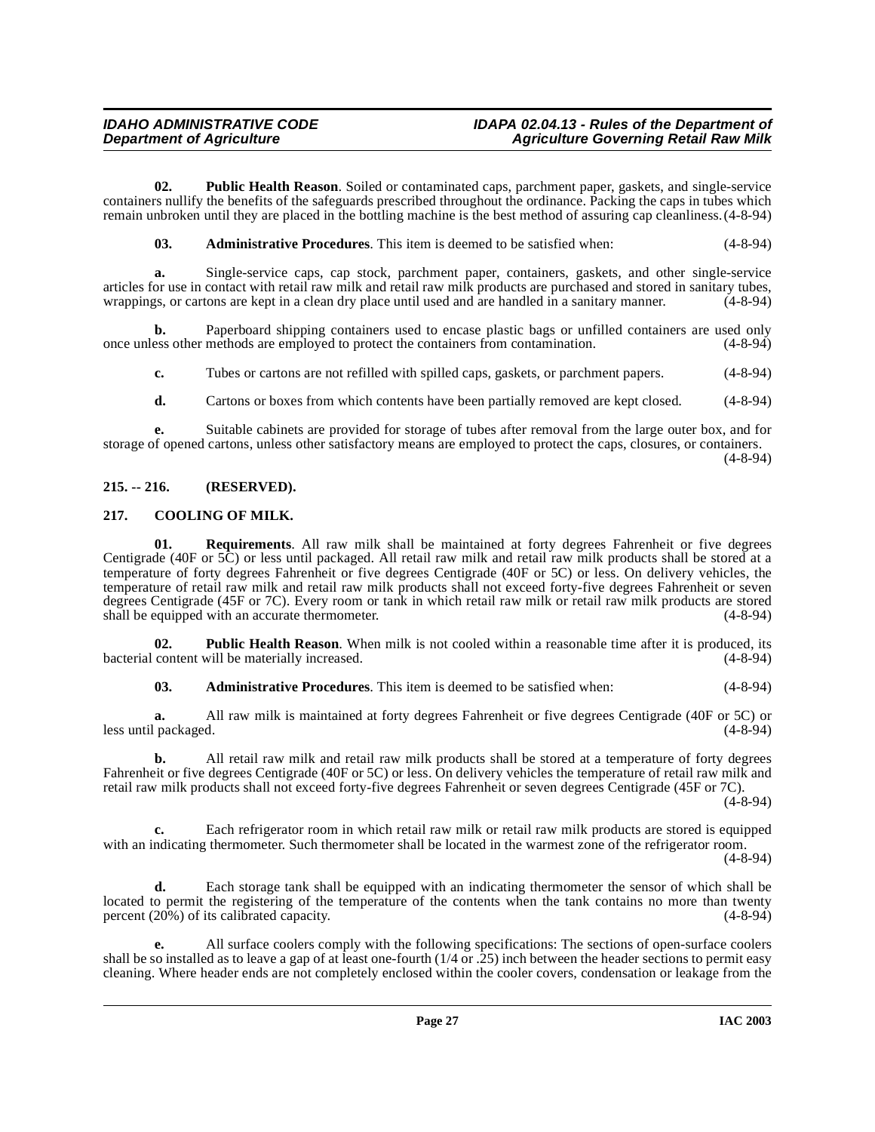**02. Public Health Reason**. Soiled or contaminated caps, parchment paper, gaskets, and single-service containers nullify the benefits of the safeguards prescribed throughout the ordinance. Packing the caps in tubes which remain unbroken until they are placed in the bottling machine is the best method of assuring cap cleanliness.(4-8-94)

**03. Administrative Procedures**. This item is deemed to be satisfied when: (4-8-94)

**a.** Single-service caps, cap stock, parchment paper, containers, gaskets, and other single-service articles for use in contact with retail raw milk and retail raw milk products are purchased and stored in sanitary tubes, wrappings, or cartons are kept in a clean dry place until used and are handled in a sanitary manner. (4-8-94)

**b.** Paperboard shipping containers used to encase plastic bags or unfilled containers are used only ess other methods are employed to protect the containers from contamination. (4-8-94) once unless other methods are employed to protect the containers from contamination. (4-8-94)

**c.** Tubes or cartons are not refilled with spilled caps, gaskets, or parchment papers. (4-8-94)

**d.** Cartons or boxes from which contents have been partially removed are kept closed.  $(4-8-94)$ 

**e.** Suitable cabinets are provided for storage of tubes after removal from the large outer box, and for storage of opened cartons, unless other satisfactory means are employed to protect the caps, closures, or containers.

(4-8-94)

# <span id="page-26-0"></span>**215. -- 216. (RESERVED).**

# <span id="page-26-2"></span><span id="page-26-1"></span>**217. COOLING OF MILK.**

**01. Requirements**. All raw milk shall be maintained at forty degrees Fahrenheit or five degrees Centigrade (40F or 5C) or less until packaged. All retail raw milk and retail raw milk products shall be stored at a temperature of forty degrees Fahrenheit or five degrees Centigrade (40F or 5C) or less. On delivery vehicles, the temperature of retail raw milk and retail raw milk products shall not exceed forty-five degrees Fahrenheit or seven degrees Centigrade (45F or 7C). Every room or tank in which retail raw milk or retail raw milk products are stored shall be equipped with an accurate thermometer. (4-8-94) shall be equipped with an accurate thermometer.

**02. Public Health Reason**. When milk is not cooled within a reasonable time after it is produced, its content will be materially increased.  $(4-8-94)$ bacterial content will be materially increased.

**03. Administrative Procedures**. This item is deemed to be satisfied when: (4-8-94)

**a.** All raw milk is maintained at forty degrees Fahrenheit or five degrees Centigrade (40F or 5C) or l packaged. (40F or 5C) or less until packaged.

**b.** All retail raw milk and retail raw milk products shall be stored at a temperature of forty degrees Fahrenheit or five degrees Centigrade (40F or 5C) or less. On delivery vehicles the temperature of retail raw milk and retail raw milk products shall not exceed forty-five degrees Fahrenheit or seven degrees Centigrade (45F or 7C).

 $(4-8-94)$ 

**c.** Each refrigerator room in which retail raw milk or retail raw milk products are stored is equipped with an indicating thermometer. Such thermometer shall be located in the warmest zone of the refrigerator room.

(4-8-94)

**d.** Each storage tank shall be equipped with an indicating thermometer the sensor of which shall be located to permit the registering of the temperature of the contents when the tank contains no more than twenty percent  $(20\%)$  of its calibrated capacity.  $(4-8-94)$ 

**e.** All surface coolers comply with the following specifications: The sections of open-surface coolers shall be so installed as to leave a gap of at least one-fourth  $(1/4 \text{ or } .25)$  inch between the header sections to permit easy cleaning. Where header ends are not completely enclosed within the cooler covers, condensation or leakage from the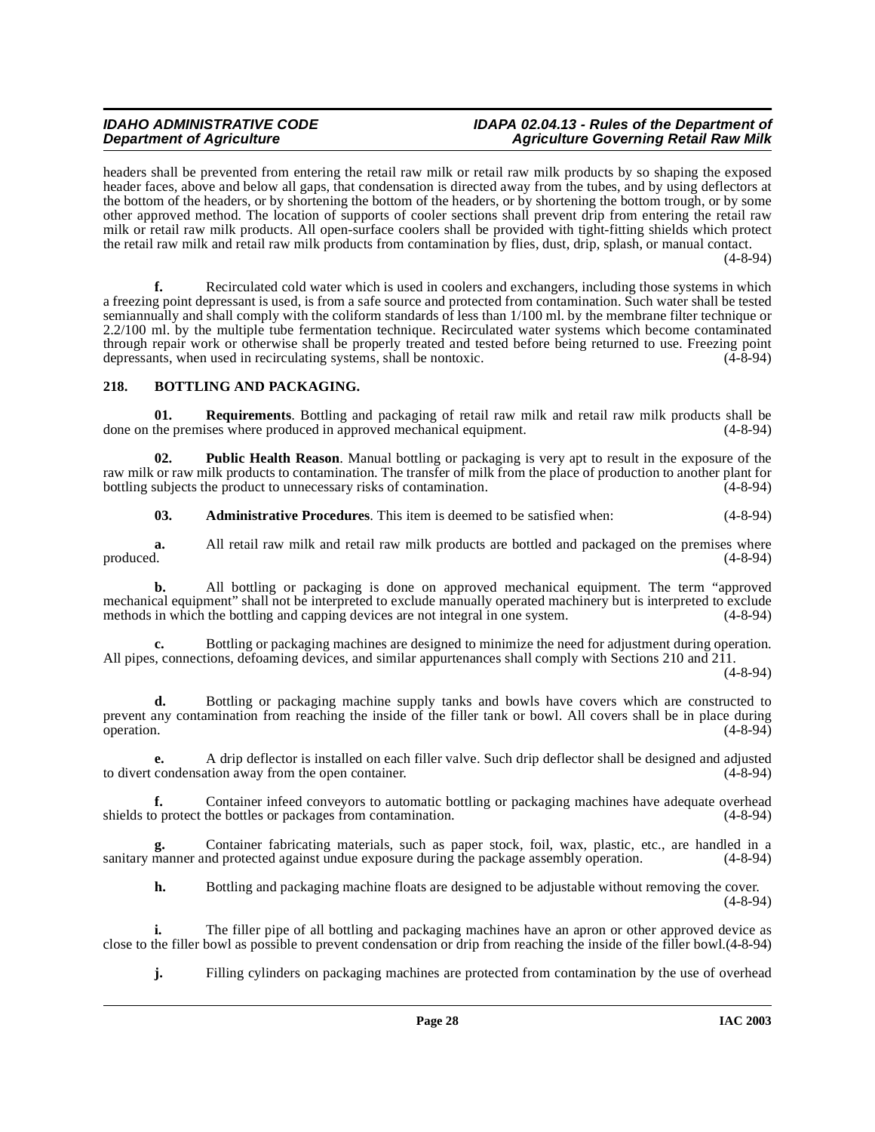headers shall be prevented from entering the retail raw milk or retail raw milk products by so shaping the exposed header faces, above and below all gaps, that condensation is directed away from the tubes, and by using deflectors at the bottom of the headers, or by shortening the bottom of the headers, or by shortening the bottom trough, or by some other approved method. The location of supports of cooler sections shall prevent drip from entering the retail raw milk or retail raw milk products. All open-surface coolers shall be provided with tight-fitting shields which protect the retail raw milk and retail raw milk products from contamination by flies, dust, drip, splash, or manual contact. (4-8-94)

**f.** Recirculated cold water which is used in coolers and exchangers, including those systems in which a freezing point depressant is used, is from a safe source and protected from contamination. Such water shall be tested semiannually and shall comply with the coliform standards of less than 1/100 ml. by the membrane filter technique or 2.2/100 ml. by the multiple tube fermentation technique. Recirculated water systems which become contaminated through repair work or otherwise shall be properly treated and tested before being returned to use. Freezing point depressants, when used in recirculating systems, shall be nontoxic. (4-8-94)

#### <span id="page-27-1"></span><span id="page-27-0"></span>**218. BOTTLING AND PACKAGING.**

**01. Requirements**. Bottling and packaging of retail raw milk and retail raw milk products shall be done on the premises where produced in approved mechanical equipment. (4-8-94)

**02. Public Health Reason**. Manual bottling or packaging is very apt to result in the exposure of the raw milk or raw milk products to contamination. The transfer of milk from the place of production to another plant for bottling subjects the product to unnecessary risks of contamination. bottling subjects the product to unnecessary risks of contamination.

**03. Administrative Procedures**. This item is deemed to be satisfied when: (4-8-94)

**a.** All retail raw milk and retail raw milk products are bottled and packaged on the premises where produced.  $(4-8-94)$ produced. (4-8-94)

**b.** All bottling or packaging is done on approved mechanical equipment. The term "approved mechanical equipment" shall not be interpreted to exclude manually operated machinery but is interpreted to exclude methods in which the bottling and capping devices are not integral in one system. (4-8-94) methods in which the bottling and capping devices are not integral in one system.

**c.** Bottling or packaging machines are designed to minimize the need for adjustment during operation. All pipes, connections, defoaming devices, and similar appurtenances shall comply with Sections 210 and 211.

(4-8-94)

**d.** Bottling or packaging machine supply tanks and bowls have covers which are constructed to prevent any contamination from reaching the inside of the filler tank or bowl. All covers shall be in place during operation. (4-8-94) operation. (4-8-94)

**e.** A drip deflector is installed on each filler valve. Such drip deflector shall be designed and adjusted to divert condensation away from the open container. (4-8-94)

**f.** Container infeed conveyors to automatic bottling or packaging machines have adequate overhead protect the bottles or packages from contamination. (4-8-94) shields to protect the bottles or packages from contamination.

Container fabricating materials, such as paper stock, foil, wax, plastic, etc., are handled in a nd protected against undue exposure during the package assembly operation. (4-8-94) sanitary manner and protected against undue exposure during the package assembly operation.

**h.** Bottling and packaging machine floats are designed to be adjustable without removing the cover. (4-8-94)

**i.** The filler pipe of all bottling and packaging machines have an apron or other approved device as close to the filler bowl as possible to prevent condensation or drip from reaching the inside of the filler bowl.(4-8-94)

**j.** Filling cylinders on packaging machines are protected from contamination by the use of overhead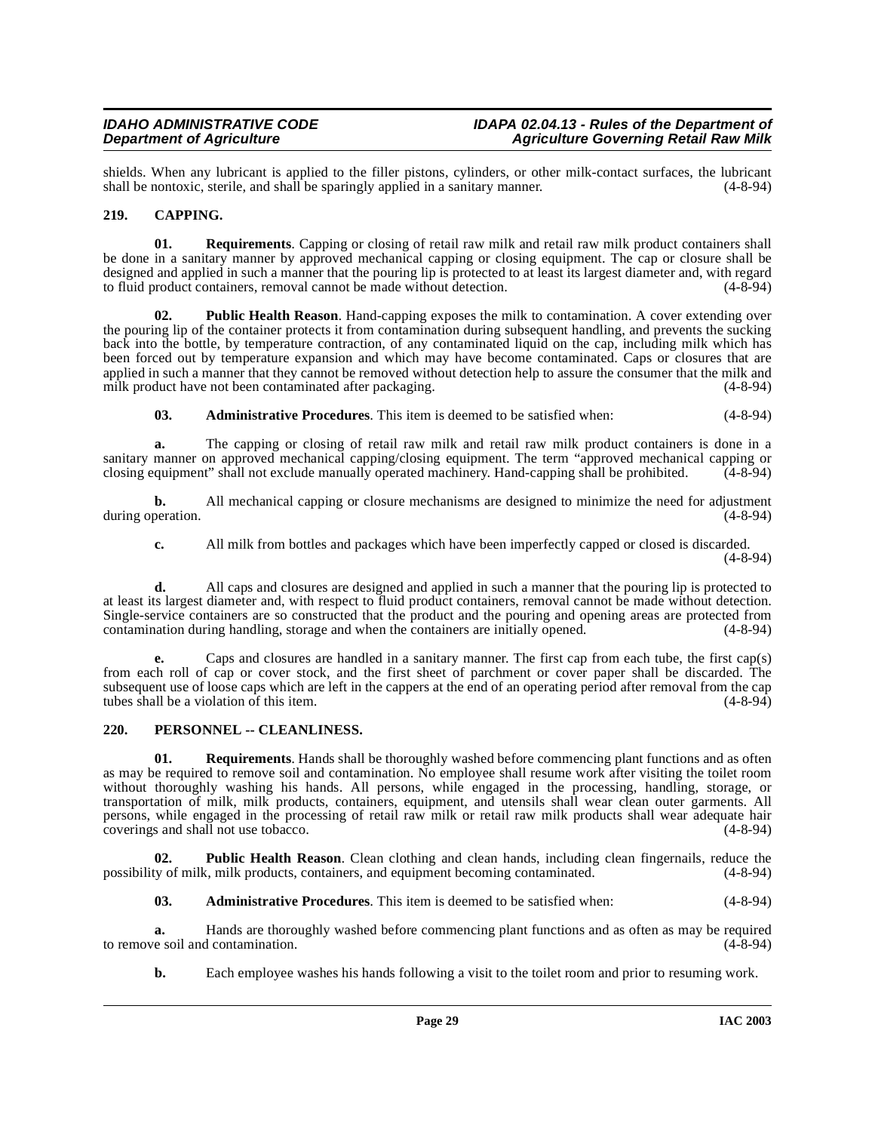shields. When any lubricant is applied to the filler pistons, cylinders, or other milk-contact surfaces, the lubricant shall be nontoxic, sterile, and shall be sparingly applied in a sanitary manner. (4-8-94) shall be nontoxic, sterile, and shall be sparingly applied in a sanitary manner.

# <span id="page-28-2"></span><span id="page-28-0"></span>**219. CAPPING.**

**01. Requirements**. Capping or closing of retail raw milk and retail raw milk product containers shall be done in a sanitary manner by approved mechanical capping or closing equipment. The cap or closure shall be designed and applied in such a manner that the pouring lip is protected to at least its largest diameter and, with regard to fluid product containers, removal cannot be made without detection. (4-8-94) to fluid product containers, removal cannot be made without detection.

**Public Health Reason**. Hand-capping exposes the milk to contamination. A cover extending over the pouring lip of the container protects it from contamination during subsequent handling, and prevents the sucking back into the bottle, by temperature contraction, of any contaminated liquid on the cap, including milk which has been forced out by temperature expansion and which may have become contaminated. Caps or closures that are applied in such a manner that they cannot be removed without detection help to assure the consumer that the milk and milk product have not been contaminated after packaging. (4-8-94)

**03. Administrative Procedures**. This item is deemed to be satisfied when: (4-8-94)

**a.** The capping or closing of retail raw milk and retail raw milk product containers is done in a sanitary manner on approved mechanical capping/closing equipment. The term "approved mechanical capping or closing equipment" shall not exclude manually operated machinery. Hand-capping shall be prohibited. (4-8-94) closing equipment" shall not exclude manually operated machinery. Hand-capping shall be prohibited.

**b.** All mechanical capping or closure mechanisms are designed to minimize the need for adjustment during operation. (4-8-94)

**c.** All milk from bottles and packages which have been imperfectly capped or closed is discarded. (4-8-94)

**d.** All caps and closures are designed and applied in such a manner that the pouring lip is protected to at least its largest diameter and, with respect to fluid product containers, removal cannot be made without detection. Single-service containers are so constructed that the product and the pouring and opening areas are protected from contamination during handling, storage and when the containers are initially opened. (4-8-94) contamination during handling, storage and when the containers are initially opened.

**e.** Caps and closures are handled in a sanitary manner. The first cap from each tube, the first cap(s) from each roll of cap or cover stock, and the first sheet of parchment or cover paper shall be discarded. The subsequent use of loose caps which are left in the cappers at the end of an operating period after removal from the cap<br>tubes shall be a violation of this item. tubes shall be a violation of this item.

# <span id="page-28-3"></span><span id="page-28-1"></span>**220. PERSONNEL -- CLEANLINESS.**

**01. Requirements**. Hands shall be thoroughly washed before commencing plant functions and as often as may be required to remove soil and contamination. No employee shall resume work after visiting the toilet room without thoroughly washing his hands. All persons, while engaged in the processing, handling, storage, or transportation of milk, milk products, containers, equipment, and utensils shall wear clean outer garments. All persons, while engaged in the processing of retail raw milk or retail raw milk products shall wear adequate hair coverings and shall not use tobacco. (4-8-94)

**02. Public Health Reason**. Clean clothing and clean hands, including clean fingernails, reduce the ty of milk, milk products, containers, and equipment becoming contaminated. (4-8-94) possibility of milk, milk products, containers, and equipment becoming contaminated.

**03. Administrative Procedures**. This item is deemed to be satisfied when: (4-8-94)

**a.** Hands are thoroughly washed before commencing plant functions and as often as may be required re soil and contamination. (4-8-94) to remove soil and contamination.

**b.** Each employee washes his hands following a visit to the toilet room and prior to resuming work.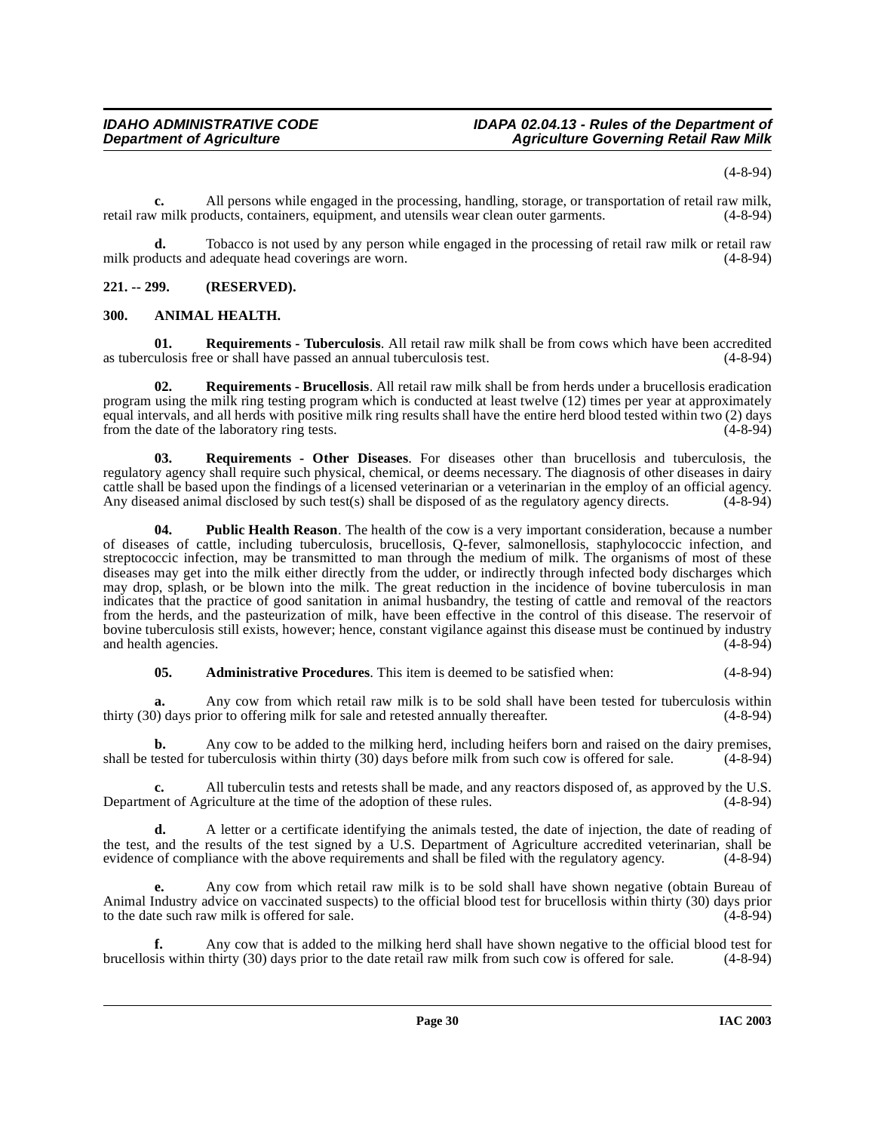(4-8-94)

**c.** All persons while engaged in the processing, handling, storage, or transportation of retail raw milk, retail raw milk products, containers, equipment, and utensils wear clean outer garments. (4-8-94)

**d.** Tobacco is not used by any person while engaged in the processing of retail raw milk or retail raw ducts and adequate head coverings are worn. (4-8-94) milk products and adequate head coverings are worn.

# <span id="page-29-0"></span>**221. -- 299. (RESERVED).**

# <span id="page-29-2"></span><span id="page-29-1"></span>**300. ANIMAL HEALTH.**

<span id="page-29-4"></span>**01. Requirements - Tuberculosis**. All retail raw milk shall be from cows which have been accredited as tuberculosis free or shall have passed an annual tuberculosis test. (4-8-94)

<span id="page-29-3"></span>**02. Requirements - Brucellosis**. All retail raw milk shall be from herds under a brucellosis eradication program using the milk ring testing program which is conducted at least twelve (12) times per year at approximately equal intervals, and all herds with positive milk ring results shall have the entire herd blood tested within two (2) days from the date of the laboratory ring tests. (4-8-94)

**03. Requirements - Other Diseases**. For diseases other than brucellosis and tuberculosis, the regulatory agency shall require such physical, chemical, or deems necessary. The diagnosis of other diseases in dairy cattle shall be based upon the findings of a licensed veterinarian or a veterinarian in the employ of an official agency.<br>Any diseased animal disclosed by such test(s) shall be disposed of as the regulatory agency directs. Any diseased animal disclosed by such test(s) shall be disposed of as the regulatory agency directs.

**04. Public Health Reason**. The health of the cow is a very important consideration, because a number of diseases of cattle, including tuberculosis, brucellosis, Q-fever, salmonellosis, staphylococcic infection, and streptococcic infection, may be transmitted to man through the medium of milk. The organisms of most of these diseases may get into the milk either directly from the udder, or indirectly through infected body discharges which may drop, splash, or be blown into the milk. The great reduction in the incidence of bovine tuberculosis in man indicates that the practice of good sanitation in animal husbandry, the testing of cattle and removal of the reactors from the herds, and the pasteurization of milk, have been effective in the control of this disease. The reservoir of bovine tuberculosis still exists, however; hence, constant vigilance against this disease must be continued by industry and health agencies.

**05. Administrative Procedures**. This item is deemed to be satisfied when: (4-8-94)

**a.** Any cow from which retail raw milk is to be sold shall have been tested for tuberculosis within thirty (30) days prior to offering milk for sale and retested annually thereafter. (4-8-94)

**b.** Any cow to be added to the milking herd, including heifers born and raised on the dairy premises, shall be tested for tuberculosis within thirty (30) days before milk from such cow is offered for sale. (4-8-94)

**c.** All tuberculin tests and retests shall be made, and any reactors disposed of, as approved by the U.S. ent of Agriculture at the time of the adoption of these rules. (4-8-94) Department of Agriculture at the time of the adoption of these rules.

**d.** A letter or a certificate identifying the animals tested, the date of injection, the date of reading of the test, and the results of the test signed by a U.S. Department of Agriculture accredited veterinarian, shall be evidence of compliance with the above requirements and shall be filed with the regulatory agency. (4-8-94)

**e.** Any cow from which retail raw milk is to be sold shall have shown negative (obtain Bureau of Animal Industry advice on vaccinated suspects) to the official blood test for brucellosis within thirty (30) days prior to the date such raw milk is offered for sale. (4-8-94)

**f.** Any cow that is added to the milking herd shall have shown negative to the official blood test for sis within thirty (30) days prior to the date retail raw milk from such cow is offered for sale. (4-8-94) brucellosis within thirty (30) days prior to the date retail raw milk from such cow is offered for sale.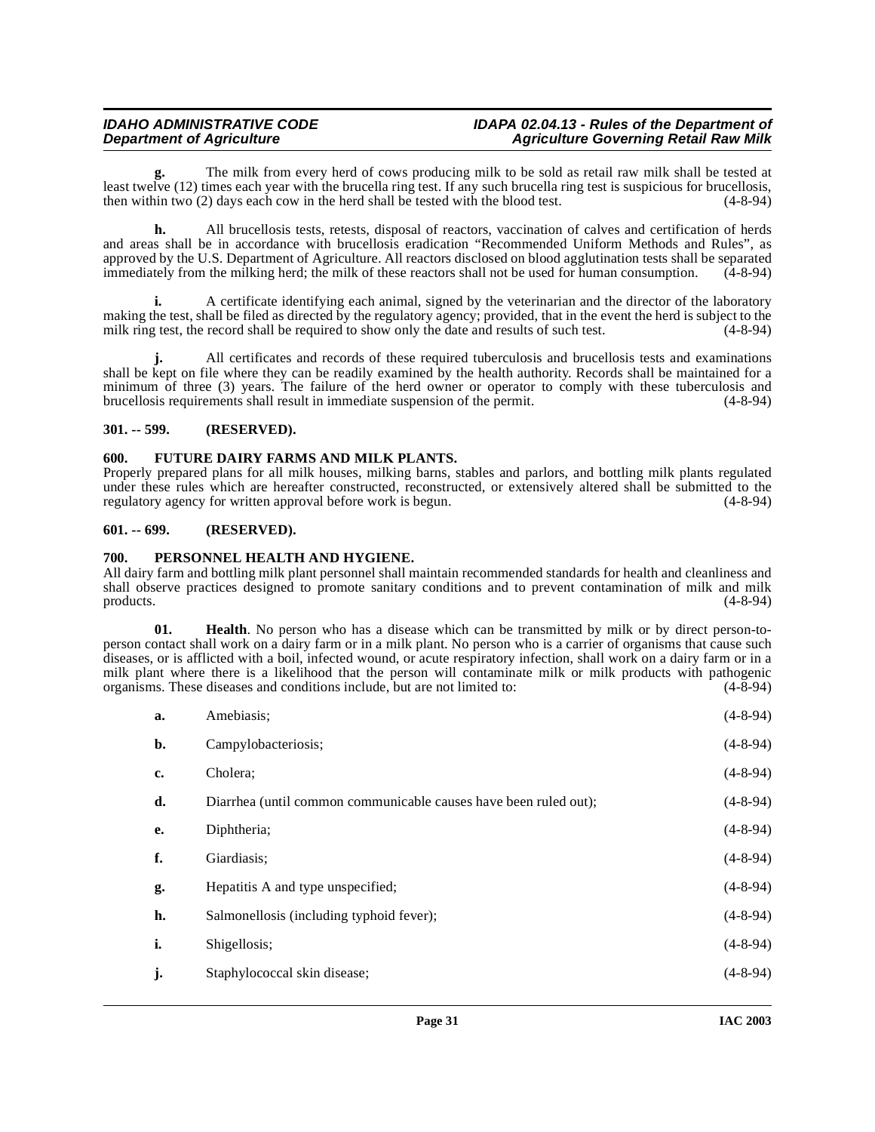**g.** The milk from every herd of cows producing milk to be sold as retail raw milk shall be tested at least twelve (12) times each year with the brucella ring test. If any such brucella ring test is suspicious for brucellosis, then within two (2) days each cow in the herd shall be tested with the blood test. (4-8-94) then within two  $(2)$  days each cow in the herd shall be tested with the blood test.

**h.** All brucellosis tests, retests, disposal of reactors, vaccination of calves and certification of herds and areas shall be in accordance with brucellosis eradication "Recommended Uniform Methods and Rules", as approved by the U.S. Department of Agriculture. All reactors disclosed on blood agglutination tests shall be separated immediately from the milking herd; the milk of these reactors shall not be used for human consumption. immediately from the milking herd; the milk of these reactors shall not be used for human consumption.

**i.** A certificate identifying each animal, signed by the veterinarian and the director of the laboratory making the test, shall be filed as directed by the regulatory agency; provided, that in the event the herd is subject to the milk ring test, the record shall be required to show only the date and results of such test. (4-8 milk ring test, the record shall be required to show only the date and results of such test.

**j.** All certificates and records of these required tuberculosis and brucellosis tests and examinations shall be kept on file where they can be readily examined by the health authority. Records shall be maintained for a minimum of three (3) years. The failure of the herd owner or operator to comply with these tuberculosis and brucellosis requirements shall result in immediate suspension of the permit. (4-8-94)

#### <span id="page-30-0"></span>**301. -- 599. (RESERVED).**

#### <span id="page-30-4"></span><span id="page-30-1"></span>**600. FUTURE DAIRY FARMS AND MILK PLANTS.**

Properly prepared plans for all milk houses, milking barns, stables and parlors, and bottling milk plants regulated under these rules which are hereafter constructed, reconstructed, or extensively altered shall be submitted to the regulatory agency for written approval before work is begun. (4-8-94) regulatory agency for written approval before work is begun.

#### <span id="page-30-2"></span>**601. -- 699. (RESERVED).**

#### <span id="page-30-6"></span><span id="page-30-3"></span>**700. PERSONNEL HEALTH AND HYGIENE.**

All dairy farm and bottling milk plant personnel shall maintain recommended standards for health and cleanliness and shall observe practices designed to promote sanitary conditions and to prevent contamination of milk and milk products. (4-8-94)

<span id="page-30-5"></span>**01. Health**. No person who has a disease which can be transmitted by milk or by direct person-toperson contact shall work on a dairy farm or in a milk plant. No person who is a carrier of organisms that cause such diseases, or is afflicted with a boil, infected wound, or acute respiratory infection, shall work on a dairy farm or in a milk plant where there is a likelihood that the person will contaminate milk or milk products with pathogenic organisms. These diseases and conditions include, but are not limited to: (4-8-94) organisms. These diseases and conditions include, but are not limited to:

| a. | Amebiasis;                                                       | $(4 - 8 - 94)$ |
|----|------------------------------------------------------------------|----------------|
| b. | Campylobacteriosis;                                              | $(4-8-94)$     |
| c. | Cholera:                                                         | $(4 - 8 - 94)$ |
| d. | Diarrhea (until common communicable causes have been ruled out); | $(4 - 8 - 94)$ |
| e. | Diphtheria;                                                      | $(4 - 8 - 94)$ |
| f. | Giardiasis;                                                      | $(4-8-94)$     |
| g. | Hepatitis A and type unspecified;                                | $(4-8-94)$     |
| h. | Salmonellosis (including typhoid fever);                         | $(4 - 8 - 94)$ |
| i. | Shigellosis;                                                     | $(4 - 8 - 94)$ |
| j. | Staphylococcal skin disease;                                     | $(4-8-94)$     |
|    |                                                                  |                |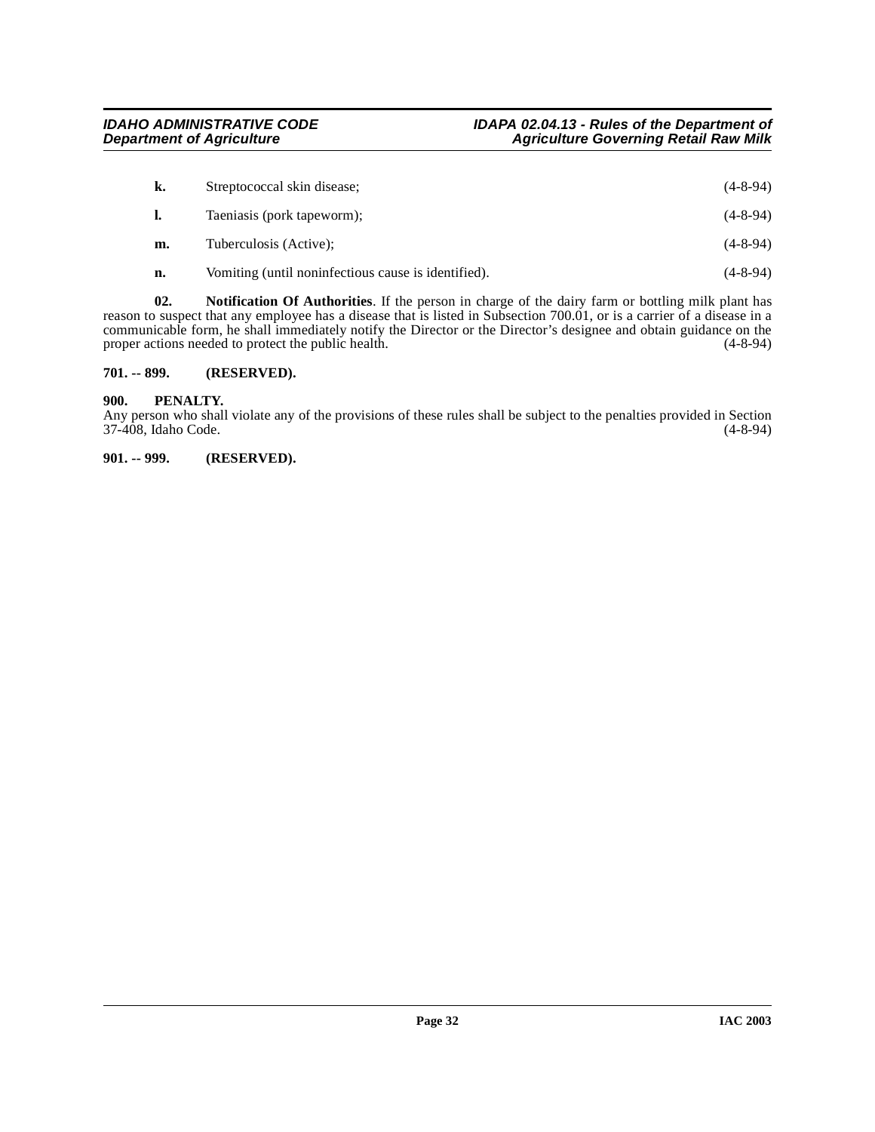| k. | Streptococcal skin disease;                         | $(4 - 8 - 94)$ |
|----|-----------------------------------------------------|----------------|
|    | Taeniasis (pork tapeworm);                          | $(4 - 8 - 94)$ |
| m. | Tuberculosis (Active);                              | $(4 - 8 - 94)$ |
| n. | Vomiting (until noninfectious cause is identified). | $(4 - 8 - 94)$ |

**02. Notification Of Authorities**. If the person in charge of the dairy farm or bottling milk plant has reason to suspect that any employee has a disease that is listed in Subsection 700.01, or is a carrier of a disease in a communicable form, he shall immediately notify the Director or the Director's designee and obtain guidance on the proper actions needed to protect the public health. (4-8-94) proper actions needed to protect the public health.

#### <span id="page-31-0"></span>**701. -- 899. (RESERVED).**

#### <span id="page-31-1"></span>**900. PENALTY.**

Any person who shall violate any of the provisions of these rules shall be subject to the penalties provided in Section 37-408, Idaho Code. (4-8-94)

<span id="page-31-2"></span>**901. -- 999. (RESERVED).**